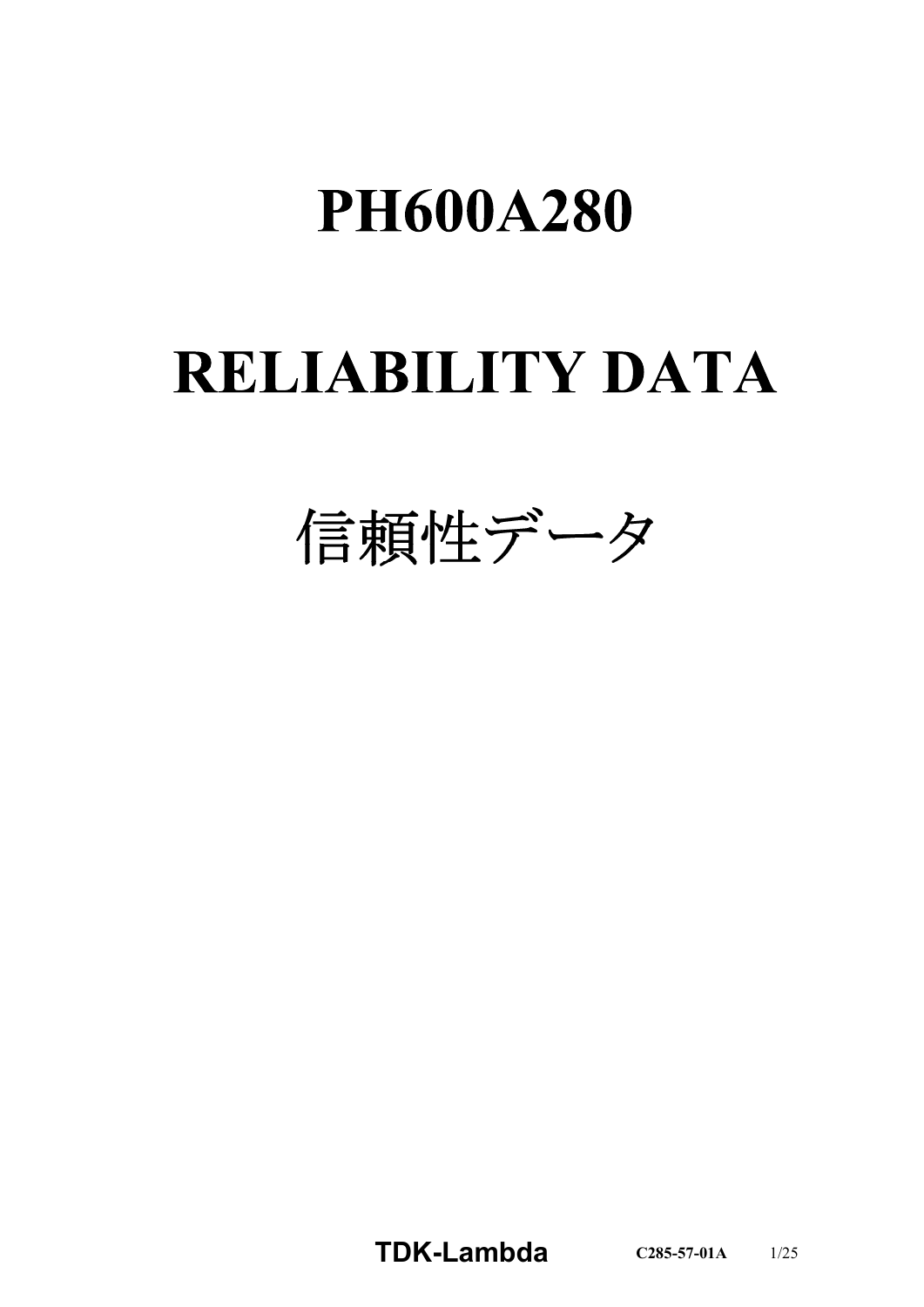# **PH600A280**

# **RELIABILITY DATA**

信頼性データ

**TDKLambda C2855701A** 1/25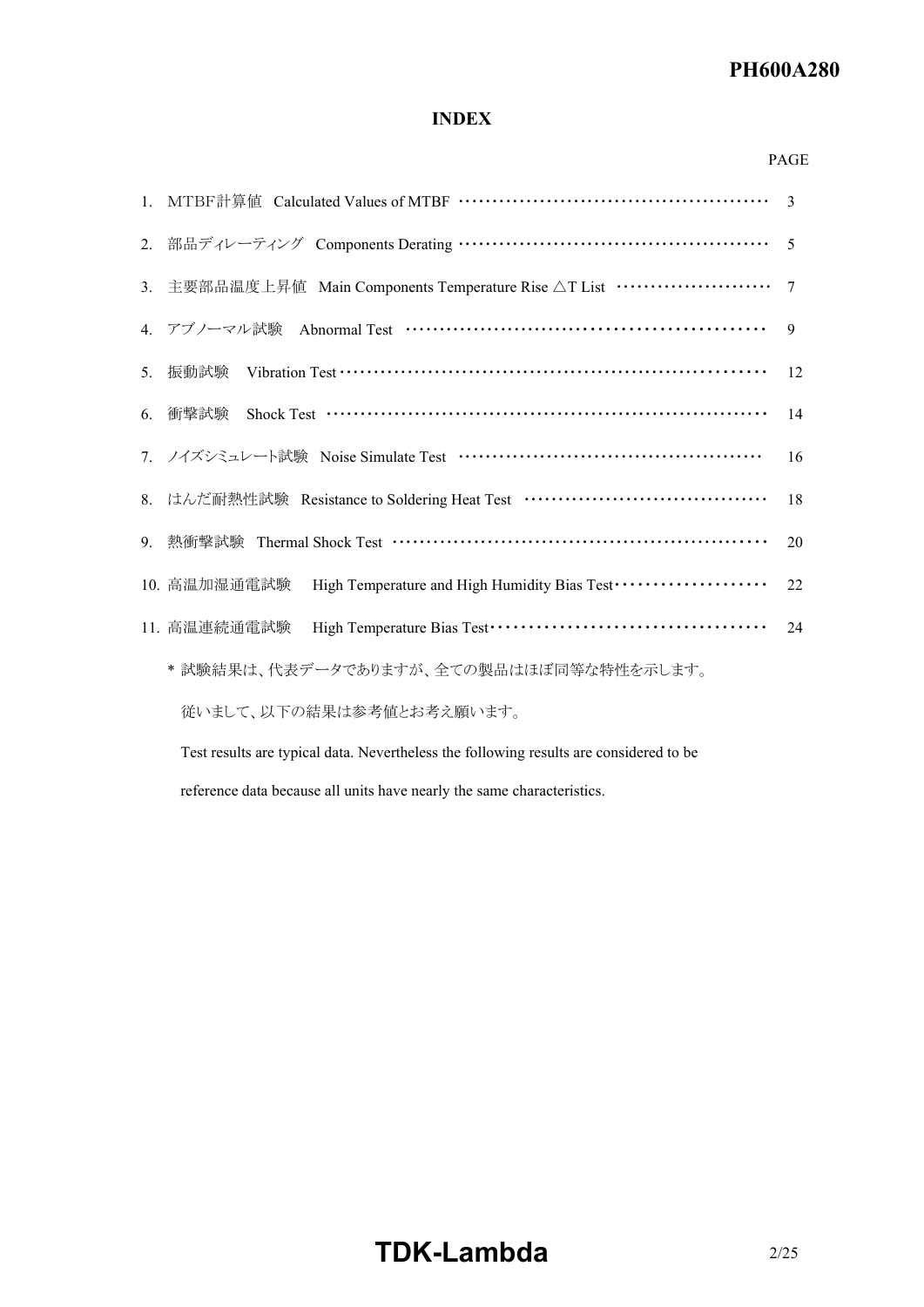#### *RWS 50B600B Series* **PH600A280**

# **INDEX**

#### PAGE

|    |                                                                                        | $\overline{3}$ |
|----|----------------------------------------------------------------------------------------|----------------|
|    | 2. 部品ディレーティング Components Derating …………………………………………………                                  | $\overline{5}$ |
|    | 3. 主要部品温度上昇値 Main Components Temperature Rise △T List ························ 7       |                |
|    | 4. アブノーマル試験 Abnormal Test …………………………………………………                                          | $\overline{9}$ |
| 5. | 振動試験                                                                                   | 12             |
|    | 6. 衝擊試験                                                                                | 14             |
|    | 7. ノイズシミュレート試験 Noise Simulate Test …………………………………………                                    | 16             |
|    | 8. はんだ耐熱性試験 Resistance to Soldering Heat Test ···································      | 18             |
|    | 9. 熱衝擊試験 Thermal Shock Test ………………………………………………………                                      | 20             |
|    | High Temperature and High Humidity Bias Test ·····················<br>10. 高温加湿通電試験     | 22             |
|    | 11. 高温連続通電試験                                                                           | 24             |
|    | * 試験結果は、代表データでありますが、全ての製品はほぼ同等な特性を示します。                                                |                |
|    | 従いまして、以下の結果は参考値とお考え願います。                                                               |                |
|    | Test results are typical data. Nevertheless the following results are considered to be |                |

reference data because all units have nearly the same characteristics.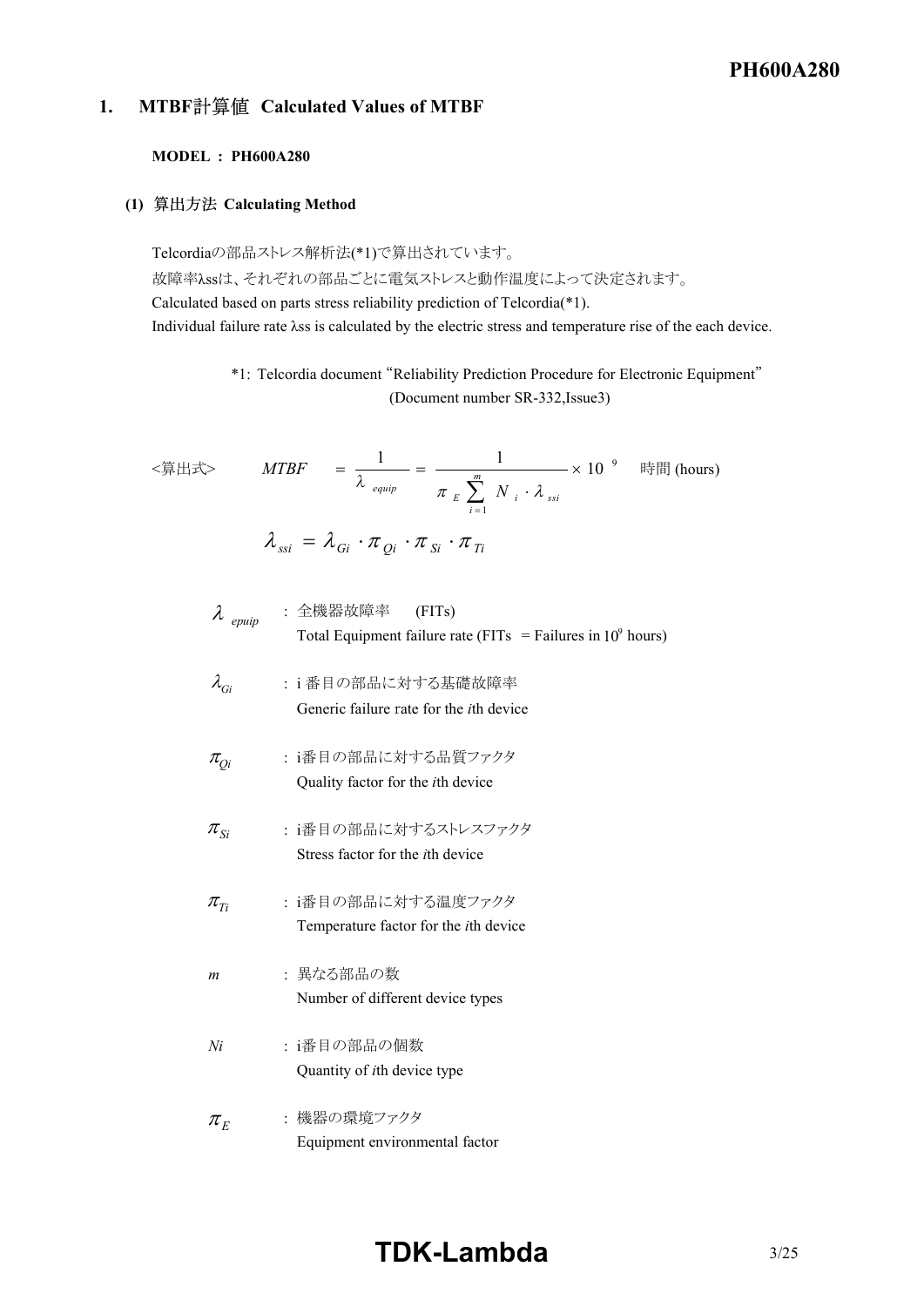# *RWS 50B600B Series* **PH600A280**

# **1. MTBF Calculated Values of MTBF**

#### **MODEL : PH600A280**

#### **(1) Calculating Method**

Telcordiaの部品ストレス解析法(\*1)で算出されています。 故障率λssは、それぞれの部品ごとに電気ストレスと動作温度によって決定されます。 Calculated based on parts stress reliability prediction of Telcordia(\*1). Individual failure rate λss is calculated by the electric stress and temperature rise of the each device.

> \*1: Telcordia document "Reliability Prediction Procedure for Electronic Equipment" (Document number SR-332, Issue3)

$$
\langle \hat{\mathbb{A}} \mathbb{H} \mathbb{H} \rangle \qquad MTBF = \frac{1}{\lambda_{\text{equip}}} = \frac{1}{\pi_{\text{E}} \sum_{i=1}^{m} N_i \cdot \lambda_{\text{ssi}}} \times 10^{-9} \quad \text{H\#} \text{ (hours)}
$$
\n
$$
\lambda_{\text{ssi}} = \lambda_{\text{Gi}} \cdot \pi_{\text{Qi}} \cdot \pi_{\text{Si}} \cdot \pi_{\text{Ti}}
$$

\n
$$
\lambda_{\text{epuip}}
$$
 :  $\hat{\pm}$ 被器 (FITs)  
\n Total Equipment failure rate (FITs = Failure in 10<sup>9</sup> hours)  
\n $\lambda_{Gi}$  :  $i$ 番目の部品に対する基  
\n  $\pi_{Qi}$    
\n  $i$ 18日の部品に対する品質  
\n $\pi_{Qi}$    
\n  $i$ 38日に対する品質  
\n $\pi_{Si}$    

# **TDKLambda** 3/25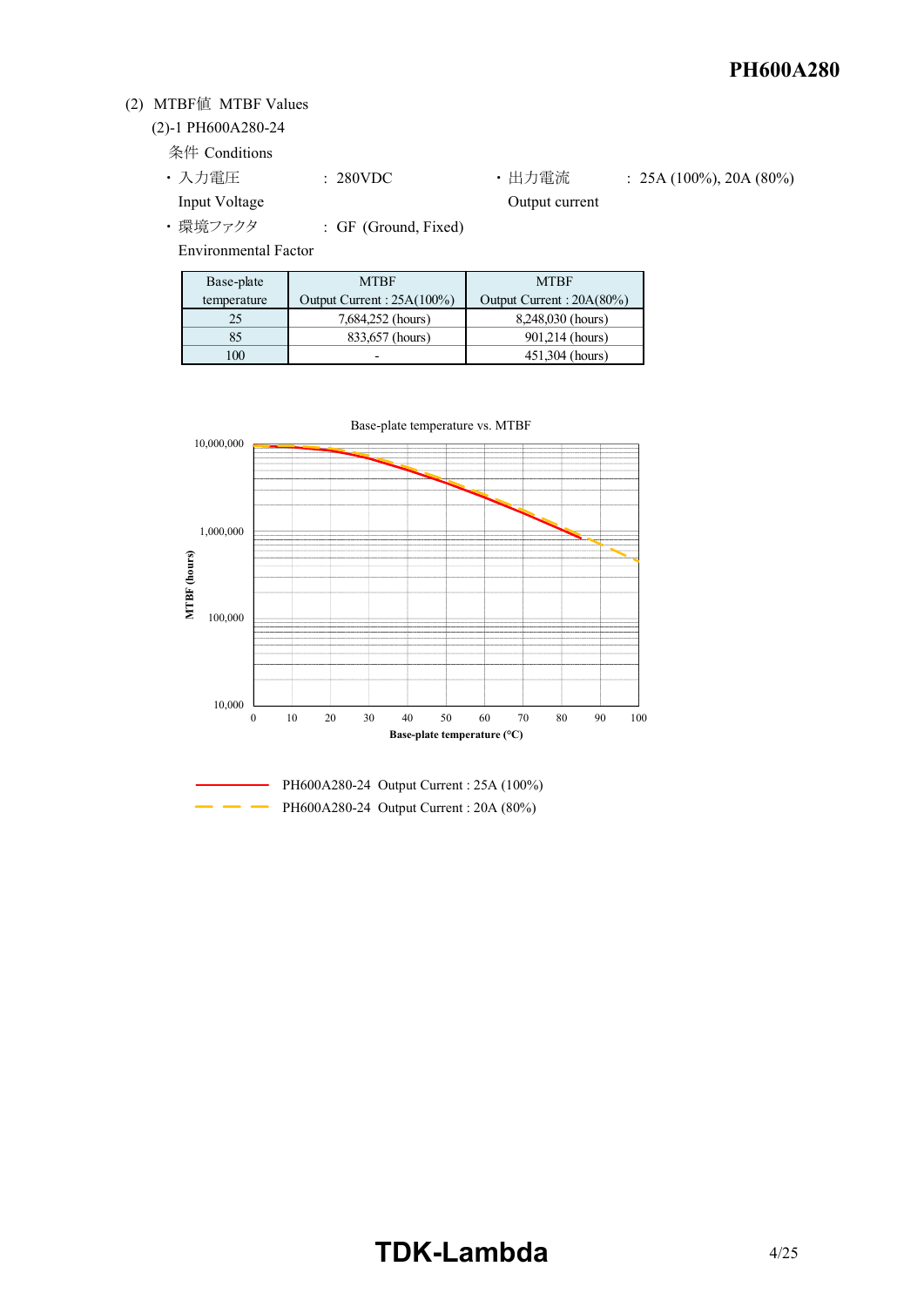## (2) MTBF値 MTBF Values

## (2)-1 PH600A280-24

条件 Conditions

- 入力電圧 : 280VDC 出力電流 : 25A (100%), 20A (80%) Input Voltage **Output current**
- ・ 環境ファクタ : GF (Ground, Fixed)

Environmental Factor

| Base-plate  | <b>MTRF</b>               | <b>MTBF</b>              |
|-------------|---------------------------|--------------------------|
| temperature | Output Current: 25A(100%) | Output Current: 20A(80%) |
| 25          | 7,684,252 (hours)         | 8,248,030 (hours)        |
| 85          | 833,657 (hours)           | 901,214 (hours)          |
| 100         |                           | 451.304 (hours)          |

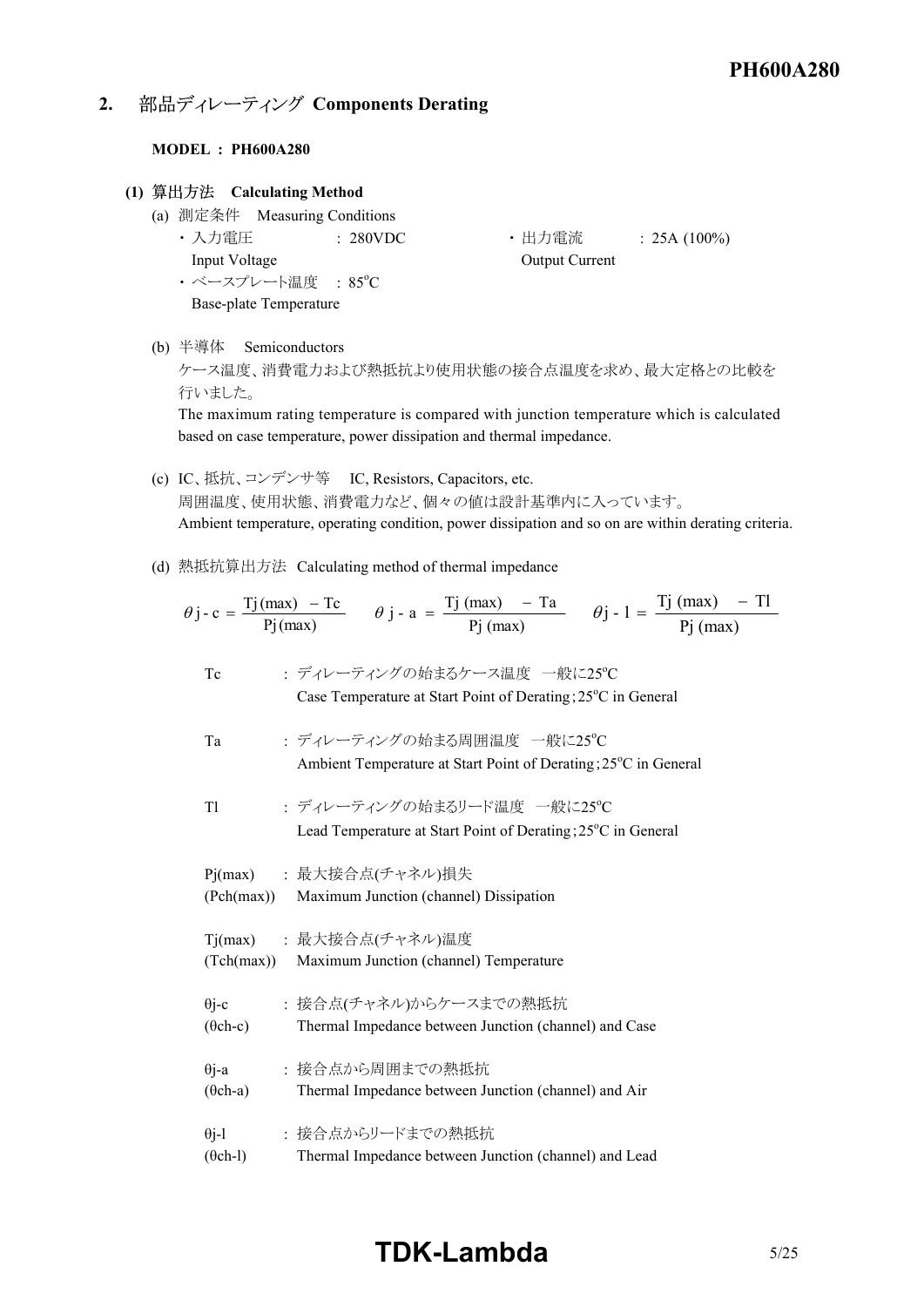# **2. 部品ディレーティング Components Derating**

#### **MODEL : PH600A280**

#### **(1) Calculating Method**

- (a) 測定条件 Measuring Conditions Input Voltage **Output Current** 
	- ·ベースプレート温度 : 85°C Base-plate Temperature
	- 入力電圧 : 280VDC + 出力電流 : 25A (100%)

#### (b) 半導体 Semiconductors

ケース温度、消費電力および熱抵抗より使用状態の接合点温度を求め、最大定格との比較を 行いました。

The maximum rating temperature is compared with junction temperature which is calculated based on case temperature, power dissipation and thermal impedance.

- (c) IC、抵抗、コンデンサ等 IC, Resistors, Capacitors, etc. 周囲温度、使用状態、消費電力など、個々の値は設計基準内に入っています。 Ambient temperature, operating condition, power dissipation and so on are within derating criteria.
- (d) 熱抵抗算出方法 Calculating method of thermal impedance

$$
\theta j - c = \frac{Tj(max) - Tc}{Pj(max)} \qquad \theta j - a = \frac{Tj(max) - Ta}{Pj(max)} \qquad \theta j - 1 = \frac{Tj(max) - Tl}{Pj(max)}
$$
  
To  
Case Temperature at Start Point of Derating; 25°C in General

- Ta : ディレーティングの始まる周囲温度 一般に25°C Ambient Temperature at Start Point of Derating; 25°C in General
- Tl : ディレーティングの始まるリード温度 一般に25°C Lead Temperature at Start Point of Derating;  $25^{\circ}$ C in General

| (Pch(max))                      | Pj(max) : 最大接合点(チャネル)損失<br>Maximum Junction (channel) Dissipation               |
|---------------------------------|---------------------------------------------------------------------------------|
|                                 | Tj(max) : 最大接合点(チャネル)温度<br>(Tch(max)) Maximum Junction (channel) Temperature    |
| $\theta$ j-c<br>$(\theta$ ch-c) | : 接合点(チャネル)からケースまでの熱抵抗<br>Thermal Impedance between Junction (channel) and Case |
| $\theta$ j-a<br>$(\theta$ ch-a) | : 接合点から周囲までの熱抵抗<br>Thermal Impedance between Junction (channel) and Air         |
| $\theta$ j-l<br>$(\theta$ ch-l) | : 接合点からリードまでの熱抵抗<br>Thermal Impedance between Junction (channel) and Lead       |

# **TDKLambda**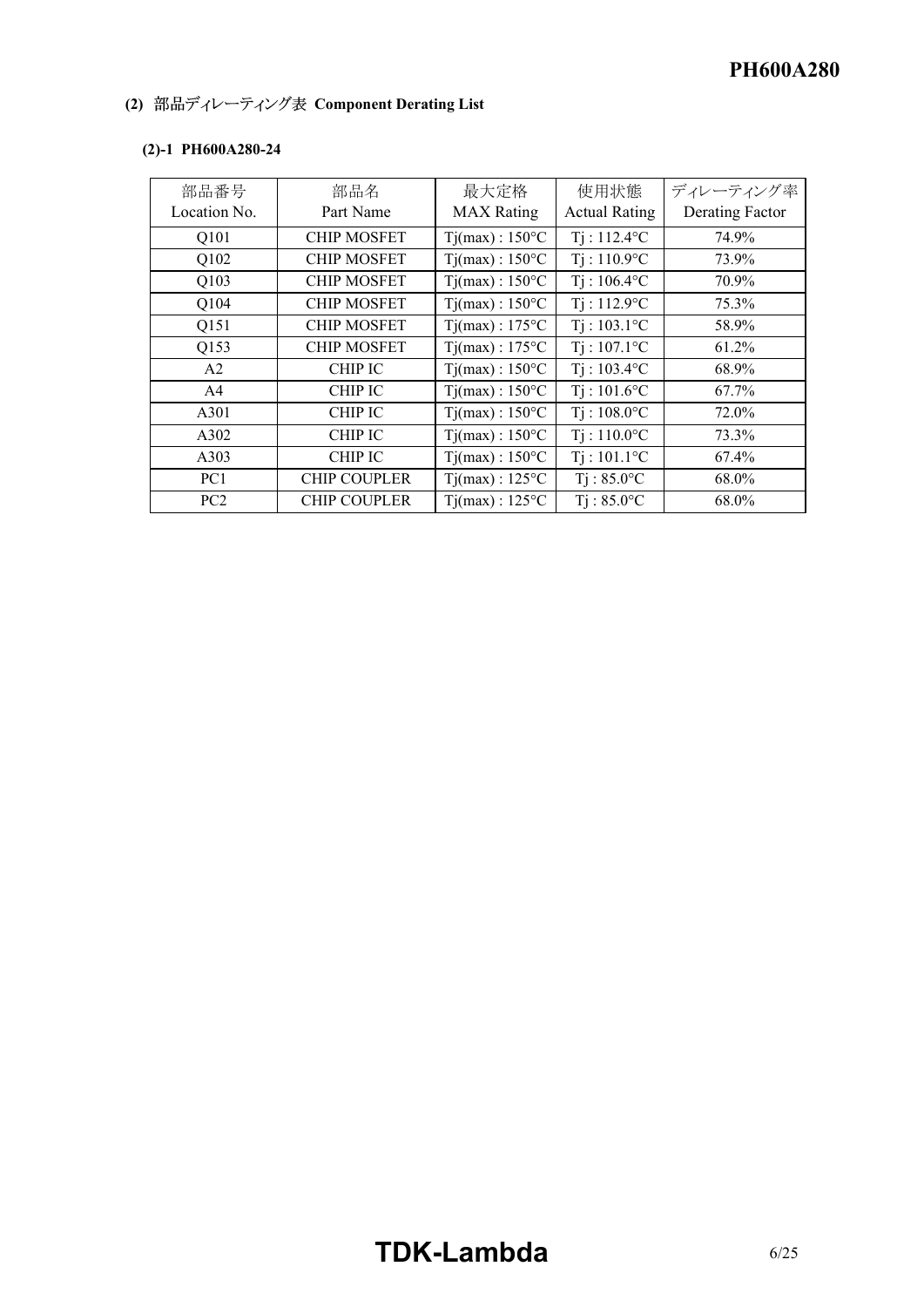#### *RWS 50B600B Series* **PH600A280**

# **(2) 部品ディレーティング表 Component Derating List**

| 部品番号         | 部品名                 | 最大定格                    | 使用状態                 | ディレーティング率       |
|--------------|---------------------|-------------------------|----------------------|-----------------|
| Location No. | Part Name           | <b>MAX</b> Rating       | <b>Actual Rating</b> | Derating Factor |
| Q101         | <b>CHIP MOSFET</b>  | $Ti(max): 150^{\circ}C$ | $Ti: 112.4$ °C       | 74.9%           |
| Q102         | <b>CHIP MOSFET</b>  | $Tj(max): 150^{\circ}C$ | $Ti: 110.9$ °C       | 73.9%           |
| Q103         | <b>CHIP MOSFET</b>  | $Tj(max): 150^{\circ}C$ | $Ti: 106.4$ °C       | 70.9%           |
| Q104         | <b>CHIP MOSFET</b>  | $Ti(max): 150^{\circ}C$ | $Ti: 112.9$ °C       | 75.3%           |
| Q151         | <b>CHIP MOSFET</b>  | $Tj(max): 175^{\circ}C$ | $Ti: 103.1$ °C       | 58.9%           |
| Q153         | <b>CHIP MOSFET</b>  | $Tj(max): 175^{\circ}C$ | $Ti: 107.1$ °C       | 61.2%           |
| A2           | CHIP IC             | $Tj(max): 150^{\circ}C$ | $Ti: 103.4$ °C       | 68.9%           |
| A4           | <b>CHIP IC</b>      | $Ti(max): 150^{\circ}C$ | $Ti: 101.6$ °C       | 67.7%           |
| A301         | <b>CHIP IC</b>      | $Ti(max): 150^{\circ}C$ | $Ti: 108.0$ °C       | 72.0%           |
| A302         | CHIP IC             | $Ti(max): 150^{\circ}C$ | $Ti: 110.0$ °C       | 73.3%           |
| A303         | <b>CHIP IC</b>      | $Tj(max): 150^{\circ}C$ | $Ti: 101.1$ °C       | 67.4%           |
| PC1          | <b>CHIP COUPLER</b> | $Ti(max): 125^{\circ}C$ | $Ti: 85.0$ °C        | 68.0%           |
| PC2          | <b>CHIP COUPLER</b> | $Ti(max): 125^{\circ}C$ | $Ti: 85.0$ °C        | 68.0%           |

#### (2)-1 PH600A280-24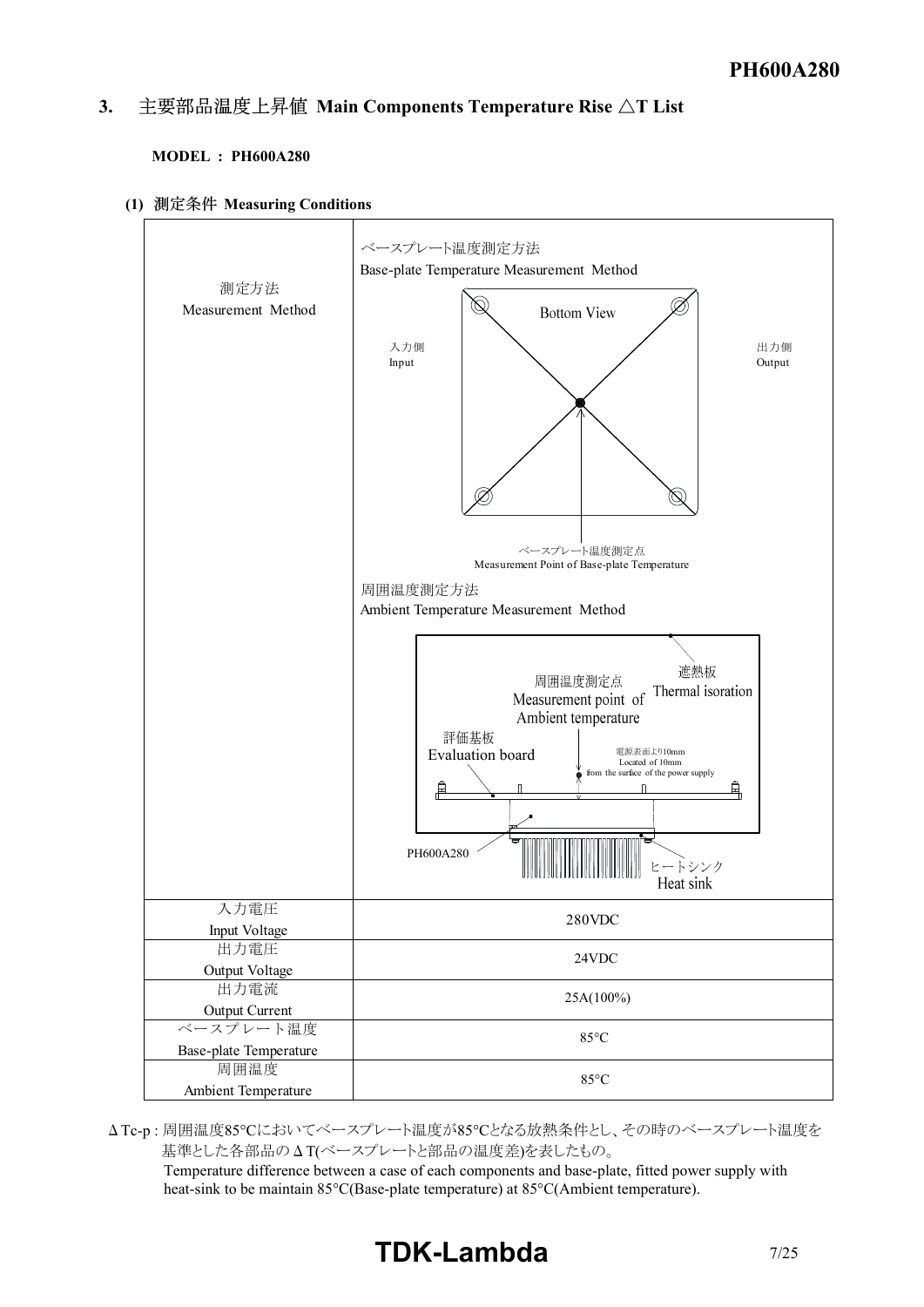#### *I ist* 3. 主要部品温度上昇值 Main Components Temperature Rise  $\Delta T$  List

#### **MODEL : PH600A280**

**(1) Measuring Conditions**



 $\Delta$ Tc-p : 周囲温度85℃においてベースプレート温度が85℃となる放熱条件とし、その時のベースプレート温度を 基準とした各部品のΔT(ベースプレートと部品の温度差)を表したもの。

Temperature difference between a case of each components and base-plate, fitted power supply with heat-sink to be maintain 85°C(Base-plate temperature) at 85°C(Ambient temperature).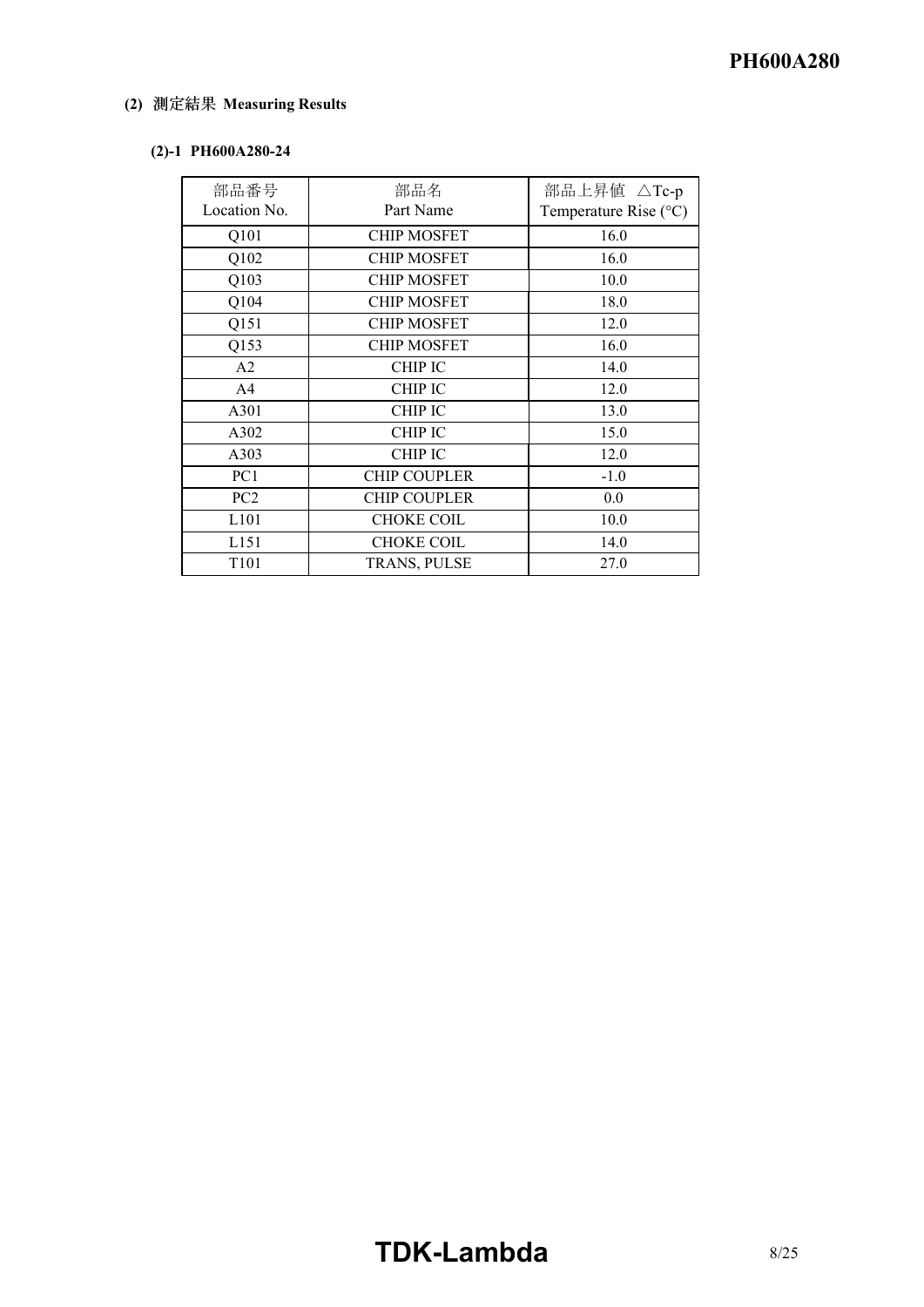# **(2) Measuring Results**

### (2)-1 PH600A280-24

| 部品番号             | 部品名                 | 部品上昇値 △Tc-p                    |
|------------------|---------------------|--------------------------------|
| Location No.     | Part Name           | Temperature Rise $(^{\circ}C)$ |
| Q101             | <b>CHIP MOSFET</b>  | 16.0                           |
| Q102             | <b>CHIP MOSFET</b>  | 16.0                           |
| Q103             | <b>CHIP MOSFET</b>  | 10.0                           |
| Q104             | <b>CHIP MOSFET</b>  | 18.0                           |
| Q151             | <b>CHIP MOSFET</b>  | 12.0                           |
| Q153             | <b>CHIP MOSFET</b>  | 16.0                           |
| A2               | <b>CHIP IC</b>      | 14.0                           |
| A <sub>4</sub>   | <b>CHIP IC</b>      | 12.0                           |
| A301             | <b>CHIP IC</b>      | 13.0                           |
| A302             | <b>CHIP IC</b>      | 15.0                           |
| A303             | <b>CHIP IC</b>      | 12.0                           |
| PC1              | <b>CHIP COUPLER</b> | $-1.0$                         |
| PC2              | <b>CHIP COUPLER</b> | 0.0                            |
| L <sub>101</sub> | <b>CHOKE COIL</b>   | 10.0                           |
| L <sub>151</sub> | <b>CHOKE COIL</b>   | 14.0                           |
| T <sub>101</sub> | TRANS, PULSE        | 27.0                           |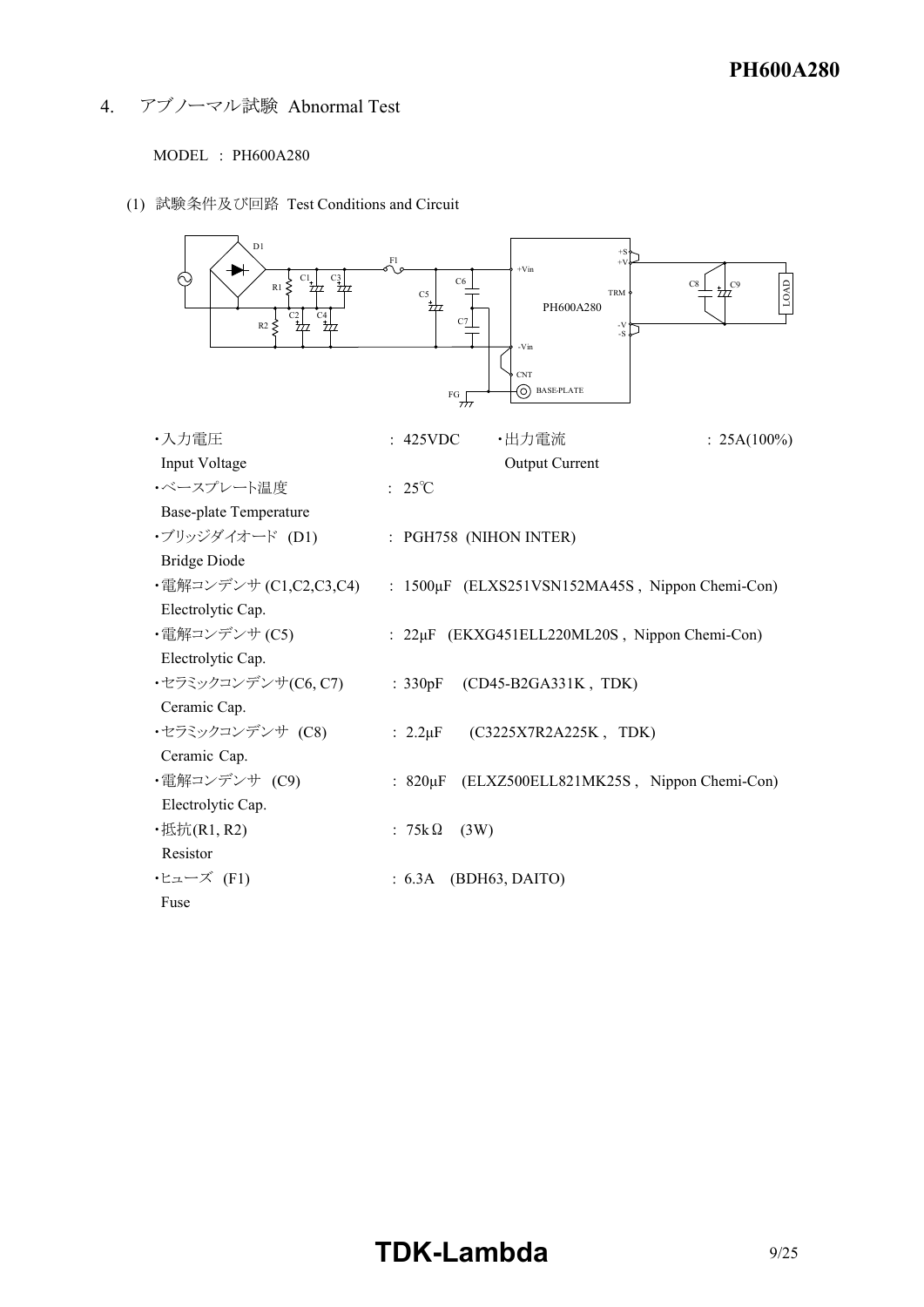4. アブノーマル試験 Abnormal Test

MODEL : PH600A280

(1) 試験条件及び回路 Test Conditions and Circuit

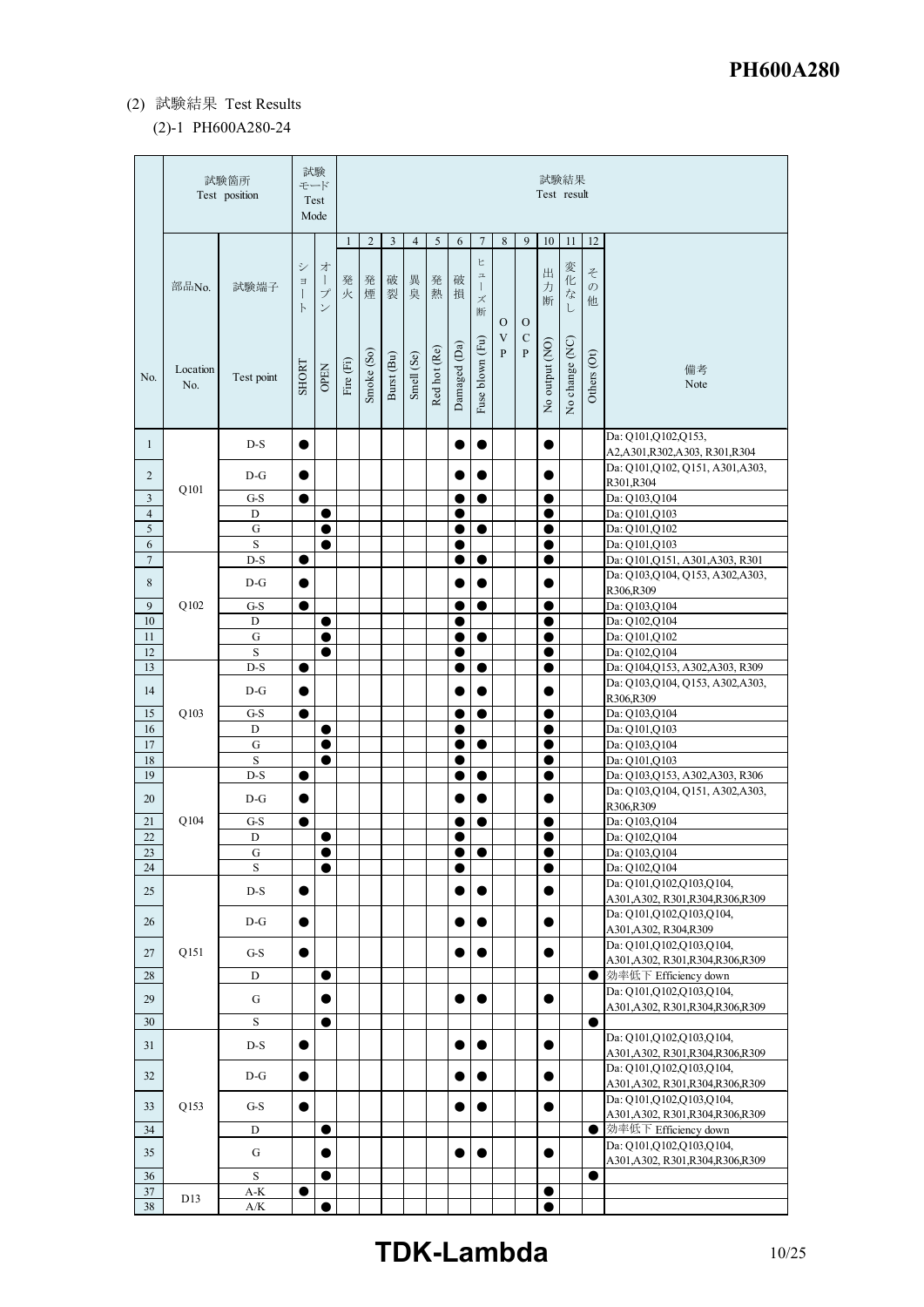# (2) 試験結果 Test Results

#### (2)-1 PH600A280-24

| $\overline{2}$<br>3<br>$\overline{4}$<br>5<br>$\tau$<br>8<br>9<br>11<br>12<br>$\mathbf{1}$<br>6<br>10<br>ヒ<br>シ<br>才<br>変化<br>出<br>そ<br>$\mathfrak{a}$<br>破<br>破<br>異<br>発<br>発<br>発<br>$\mathbf{I}$<br>$\Xi$<br>部品No.<br>力<br>$\mathcal{O}$<br>試験端子<br>$\mathbf{I}$<br>煙<br>裂<br>臭<br>$\vec{z}$<br>プ<br>火<br>熱<br>損<br>ズ<br>断<br>他<br>$\overline{L}$<br>$\checkmark$<br>$\mathbb{R}$<br>断<br>$\mathcal{O}$<br>$\mathcal{O}$<br>V<br>$\mathbf C$<br>Fuse blown (Fu)<br>No change (NC)<br>No output (NO)<br>Damaged (Da)<br>Red hot (Re)<br>$\overline{P}$<br>$\overline{P}$<br>Smoke (So)<br>Others (Ot)<br>Smell (Se)<br>Burst (Bu)<br>Fire $(Fi)$<br><b>SHORT</b><br><b>OPEN</b><br>備考<br>Location<br>Test point<br>No.<br>Note<br>No.<br>Da: Q101, Q102, Q153,<br>$D-S$<br>$\mathbf{1}$<br>$\bullet$<br>$\bullet$<br>O<br>A2, A301, R302, A303, R301, R304<br>Da: Q101, Q102, Q151, A301, A303,<br>2<br>$D-G$<br>0<br>0<br>R301,R304<br>Q101<br>$\mathfrak{Z}$<br>$G-S$<br>Da: Q103,Q104<br>●<br>0<br>0<br>$\overline{4}$<br>D<br>Da: Q101, Q103<br>0<br>0<br>$\overline{5}$<br>${\bf G}$<br>Da: Q101, Q102<br>$\bullet$<br>$\bullet$<br>$\bullet$<br>0<br>$\sqrt{6}$<br>$\rm S$<br>Da: Q101, Q103<br>$\bullet$<br>$\bullet$<br>$\tau$<br>D-S<br>Da: Q101, Q151, A301, A303, R301<br>Œ<br>0<br>●<br>Da: Q103, Q104, Q153, A302, A303,<br>$\,$ 8 $\,$<br>$D-G$<br>0<br>R306,R309<br>Q102<br>9<br>$G-S$<br>Da: Q103,Q104<br>0<br>$10\,$<br>D<br>Da: Q102, Q104<br>$\bullet$<br>$\bullet$<br>G<br>11<br>$\bullet$<br>$\bullet$<br>$\bullet$<br>$\bullet$<br>Da: Q101, Q102<br>12<br>S<br>Da: Q102,Q104<br>0<br>0<br>13<br>$D-S$<br>Da: Q104, Q153, A302, A303, R309<br>$\bullet$<br>$\bullet$<br>$\bullet$<br>Da: Q103, Q104, Q153, A302, A303,<br>14<br>$D-G$<br>C<br>0<br>R306,R309<br>Q103<br>15<br>Da: Q103,Q104<br>$G-S$<br>0<br>$\bullet$<br>$\bullet$<br>16<br>D<br>$\bullet$<br>Da: Q101,Q103<br>$\bullet$<br>$17\,$<br>${\bf G}$<br>Da: Q103,Q104<br>0<br>S<br>18<br>Da: Q101, Q103<br>$\bullet$<br>●<br>19<br>$D-S$<br>Da: Q103, Q153, A302, A303, R306<br>0<br>0<br>Da: Q103, Q104, Q151, A302, A303,<br>20<br>$D-G$<br>Œ<br>O<br>R306,R309<br>Q104<br>21<br>$G-S$<br>e<br>Da: Q103,Q104<br>O<br>22<br>D<br>$\bullet$<br>$\bullet$<br>●<br>Da: Q102,Q104<br>Da: Q103,Q104<br>23<br>G<br>$\bullet$<br>$\bullet$<br>$\bullet$<br>$\bullet$<br>24<br>$\rm S$<br>$\bullet$<br>Da: Q102,Q104<br>●<br>0<br>Da: Q101,Q102,Q103,Q104,<br>25<br>$D-S$<br>0<br>A301, A302, R301, R304, R306, R309<br>Da: Q101,Q102,Q103,Q104,<br>$D-G$<br>26<br>$\bullet$<br>D<br>$\bullet$<br>A301, A302, R304, R309<br>Da: Q101,Q102,Q103,Q104,<br>Q151<br>27<br>G-S<br>C<br>0<br>A301, A302, R301, R304, R306, R309<br>効率低下 Efficiency down<br>28<br>$\bullet$<br>D<br>$\bullet$<br>Da: Q101,Q102,Q103,Q104,<br>29<br>G<br>0<br>0<br>A301, A302, R301, R304, R306, R309<br>$\bullet$<br>30<br>$\mathbf S$<br>$\bullet$<br>Da: Q101,Q102,Q103,Q104, |    | 試験箇所<br>Test position |  | 試験<br>モード<br>Test<br>Mode |  |  |  |  |           | 試験結果<br>Test result |  |  |
|----------------------------------------------------------------------------------------------------------------------------------------------------------------------------------------------------------------------------------------------------------------------------------------------------------------------------------------------------------------------------------------------------------------------------------------------------------------------------------------------------------------------------------------------------------------------------------------------------------------------------------------------------------------------------------------------------------------------------------------------------------------------------------------------------------------------------------------------------------------------------------------------------------------------------------------------------------------------------------------------------------------------------------------------------------------------------------------------------------------------------------------------------------------------------------------------------------------------------------------------------------------------------------------------------------------------------------------------------------------------------------------------------------------------------------------------------------------------------------------------------------------------------------------------------------------------------------------------------------------------------------------------------------------------------------------------------------------------------------------------------------------------------------------------------------------------------------------------------------------------------------------------------------------------------------------------------------------------------------------------------------------------------------------------------------------------------------------------------------------------------------------------------------------------------------------------------------------------------------------------------------------------------------------------------------------------------------------------------------------------------------------------------------------------------------------------------------------------------------------------------------------------------------------------------------------------------------------------------------------------------------------------------------------------------------------------------------------------------------------------------------------------------------------------------------------------------------------------------------------------------------------------------------------------------------------|----|-----------------------|--|---------------------------|--|--|--|--|-----------|---------------------|--|--|
|                                                                                                                                                                                                                                                                                                                                                                                                                                                                                                                                                                                                                                                                                                                                                                                                                                                                                                                                                                                                                                                                                                                                                                                                                                                                                                                                                                                                                                                                                                                                                                                                                                                                                                                                                                                                                                                                                                                                                                                                                                                                                                                                                                                                                                                                                                                                                                                                                                                                                                                                                                                                                                                                                                                                                                                                                                                                                                                                        |    |                       |  |                           |  |  |  |  |           |                     |  |  |
|                                                                                                                                                                                                                                                                                                                                                                                                                                                                                                                                                                                                                                                                                                                                                                                                                                                                                                                                                                                                                                                                                                                                                                                                                                                                                                                                                                                                                                                                                                                                                                                                                                                                                                                                                                                                                                                                                                                                                                                                                                                                                                                                                                                                                                                                                                                                                                                                                                                                                                                                                                                                                                                                                                                                                                                                                                                                                                                                        |    |                       |  |                           |  |  |  |  |           |                     |  |  |
|                                                                                                                                                                                                                                                                                                                                                                                                                                                                                                                                                                                                                                                                                                                                                                                                                                                                                                                                                                                                                                                                                                                                                                                                                                                                                                                                                                                                                                                                                                                                                                                                                                                                                                                                                                                                                                                                                                                                                                                                                                                                                                                                                                                                                                                                                                                                                                                                                                                                                                                                                                                                                                                                                                                                                                                                                                                                                                                                        |    |                       |  |                           |  |  |  |  |           |                     |  |  |
|                                                                                                                                                                                                                                                                                                                                                                                                                                                                                                                                                                                                                                                                                                                                                                                                                                                                                                                                                                                                                                                                                                                                                                                                                                                                                                                                                                                                                                                                                                                                                                                                                                                                                                                                                                                                                                                                                                                                                                                                                                                                                                                                                                                                                                                                                                                                                                                                                                                                                                                                                                                                                                                                                                                                                                                                                                                                                                                                        |    |                       |  |                           |  |  |  |  |           |                     |  |  |
|                                                                                                                                                                                                                                                                                                                                                                                                                                                                                                                                                                                                                                                                                                                                                                                                                                                                                                                                                                                                                                                                                                                                                                                                                                                                                                                                                                                                                                                                                                                                                                                                                                                                                                                                                                                                                                                                                                                                                                                                                                                                                                                                                                                                                                                                                                                                                                                                                                                                                                                                                                                                                                                                                                                                                                                                                                                                                                                                        |    |                       |  |                           |  |  |  |  |           |                     |  |  |
|                                                                                                                                                                                                                                                                                                                                                                                                                                                                                                                                                                                                                                                                                                                                                                                                                                                                                                                                                                                                                                                                                                                                                                                                                                                                                                                                                                                                                                                                                                                                                                                                                                                                                                                                                                                                                                                                                                                                                                                                                                                                                                                                                                                                                                                                                                                                                                                                                                                                                                                                                                                                                                                                                                                                                                                                                                                                                                                                        |    |                       |  |                           |  |  |  |  |           |                     |  |  |
|                                                                                                                                                                                                                                                                                                                                                                                                                                                                                                                                                                                                                                                                                                                                                                                                                                                                                                                                                                                                                                                                                                                                                                                                                                                                                                                                                                                                                                                                                                                                                                                                                                                                                                                                                                                                                                                                                                                                                                                                                                                                                                                                                                                                                                                                                                                                                                                                                                                                                                                                                                                                                                                                                                                                                                                                                                                                                                                                        |    |                       |  |                           |  |  |  |  |           |                     |  |  |
|                                                                                                                                                                                                                                                                                                                                                                                                                                                                                                                                                                                                                                                                                                                                                                                                                                                                                                                                                                                                                                                                                                                                                                                                                                                                                                                                                                                                                                                                                                                                                                                                                                                                                                                                                                                                                                                                                                                                                                                                                                                                                                                                                                                                                                                                                                                                                                                                                                                                                                                                                                                                                                                                                                                                                                                                                                                                                                                                        |    |                       |  |                           |  |  |  |  |           |                     |  |  |
|                                                                                                                                                                                                                                                                                                                                                                                                                                                                                                                                                                                                                                                                                                                                                                                                                                                                                                                                                                                                                                                                                                                                                                                                                                                                                                                                                                                                                                                                                                                                                                                                                                                                                                                                                                                                                                                                                                                                                                                                                                                                                                                                                                                                                                                                                                                                                                                                                                                                                                                                                                                                                                                                                                                                                                                                                                                                                                                                        |    |                       |  |                           |  |  |  |  |           |                     |  |  |
|                                                                                                                                                                                                                                                                                                                                                                                                                                                                                                                                                                                                                                                                                                                                                                                                                                                                                                                                                                                                                                                                                                                                                                                                                                                                                                                                                                                                                                                                                                                                                                                                                                                                                                                                                                                                                                                                                                                                                                                                                                                                                                                                                                                                                                                                                                                                                                                                                                                                                                                                                                                                                                                                                                                                                                                                                                                                                                                                        |    |                       |  |                           |  |  |  |  |           |                     |  |  |
|                                                                                                                                                                                                                                                                                                                                                                                                                                                                                                                                                                                                                                                                                                                                                                                                                                                                                                                                                                                                                                                                                                                                                                                                                                                                                                                                                                                                                                                                                                                                                                                                                                                                                                                                                                                                                                                                                                                                                                                                                                                                                                                                                                                                                                                                                                                                                                                                                                                                                                                                                                                                                                                                                                                                                                                                                                                                                                                                        |    |                       |  |                           |  |  |  |  |           |                     |  |  |
|                                                                                                                                                                                                                                                                                                                                                                                                                                                                                                                                                                                                                                                                                                                                                                                                                                                                                                                                                                                                                                                                                                                                                                                                                                                                                                                                                                                                                                                                                                                                                                                                                                                                                                                                                                                                                                                                                                                                                                                                                                                                                                                                                                                                                                                                                                                                                                                                                                                                                                                                                                                                                                                                                                                                                                                                                                                                                                                                        |    |                       |  |                           |  |  |  |  |           |                     |  |  |
|                                                                                                                                                                                                                                                                                                                                                                                                                                                                                                                                                                                                                                                                                                                                                                                                                                                                                                                                                                                                                                                                                                                                                                                                                                                                                                                                                                                                                                                                                                                                                                                                                                                                                                                                                                                                                                                                                                                                                                                                                                                                                                                                                                                                                                                                                                                                                                                                                                                                                                                                                                                                                                                                                                                                                                                                                                                                                                                                        |    |                       |  |                           |  |  |  |  |           |                     |  |  |
|                                                                                                                                                                                                                                                                                                                                                                                                                                                                                                                                                                                                                                                                                                                                                                                                                                                                                                                                                                                                                                                                                                                                                                                                                                                                                                                                                                                                                                                                                                                                                                                                                                                                                                                                                                                                                                                                                                                                                                                                                                                                                                                                                                                                                                                                                                                                                                                                                                                                                                                                                                                                                                                                                                                                                                                                                                                                                                                                        |    |                       |  |                           |  |  |  |  |           |                     |  |  |
|                                                                                                                                                                                                                                                                                                                                                                                                                                                                                                                                                                                                                                                                                                                                                                                                                                                                                                                                                                                                                                                                                                                                                                                                                                                                                                                                                                                                                                                                                                                                                                                                                                                                                                                                                                                                                                                                                                                                                                                                                                                                                                                                                                                                                                                                                                                                                                                                                                                                                                                                                                                                                                                                                                                                                                                                                                                                                                                                        |    |                       |  |                           |  |  |  |  |           |                     |  |  |
|                                                                                                                                                                                                                                                                                                                                                                                                                                                                                                                                                                                                                                                                                                                                                                                                                                                                                                                                                                                                                                                                                                                                                                                                                                                                                                                                                                                                                                                                                                                                                                                                                                                                                                                                                                                                                                                                                                                                                                                                                                                                                                                                                                                                                                                                                                                                                                                                                                                                                                                                                                                                                                                                                                                                                                                                                                                                                                                                        |    |                       |  |                           |  |  |  |  |           |                     |  |  |
|                                                                                                                                                                                                                                                                                                                                                                                                                                                                                                                                                                                                                                                                                                                                                                                                                                                                                                                                                                                                                                                                                                                                                                                                                                                                                                                                                                                                                                                                                                                                                                                                                                                                                                                                                                                                                                                                                                                                                                                                                                                                                                                                                                                                                                                                                                                                                                                                                                                                                                                                                                                                                                                                                                                                                                                                                                                                                                                                        |    |                       |  |                           |  |  |  |  |           |                     |  |  |
|                                                                                                                                                                                                                                                                                                                                                                                                                                                                                                                                                                                                                                                                                                                                                                                                                                                                                                                                                                                                                                                                                                                                                                                                                                                                                                                                                                                                                                                                                                                                                                                                                                                                                                                                                                                                                                                                                                                                                                                                                                                                                                                                                                                                                                                                                                                                                                                                                                                                                                                                                                                                                                                                                                                                                                                                                                                                                                                                        |    |                       |  |                           |  |  |  |  |           |                     |  |  |
|                                                                                                                                                                                                                                                                                                                                                                                                                                                                                                                                                                                                                                                                                                                                                                                                                                                                                                                                                                                                                                                                                                                                                                                                                                                                                                                                                                                                                                                                                                                                                                                                                                                                                                                                                                                                                                                                                                                                                                                                                                                                                                                                                                                                                                                                                                                                                                                                                                                                                                                                                                                                                                                                                                                                                                                                                                                                                                                                        |    |                       |  |                           |  |  |  |  |           |                     |  |  |
|                                                                                                                                                                                                                                                                                                                                                                                                                                                                                                                                                                                                                                                                                                                                                                                                                                                                                                                                                                                                                                                                                                                                                                                                                                                                                                                                                                                                                                                                                                                                                                                                                                                                                                                                                                                                                                                                                                                                                                                                                                                                                                                                                                                                                                                                                                                                                                                                                                                                                                                                                                                                                                                                                                                                                                                                                                                                                                                                        |    |                       |  |                           |  |  |  |  |           |                     |  |  |
|                                                                                                                                                                                                                                                                                                                                                                                                                                                                                                                                                                                                                                                                                                                                                                                                                                                                                                                                                                                                                                                                                                                                                                                                                                                                                                                                                                                                                                                                                                                                                                                                                                                                                                                                                                                                                                                                                                                                                                                                                                                                                                                                                                                                                                                                                                                                                                                                                                                                                                                                                                                                                                                                                                                                                                                                                                                                                                                                        |    |                       |  |                           |  |  |  |  |           |                     |  |  |
|                                                                                                                                                                                                                                                                                                                                                                                                                                                                                                                                                                                                                                                                                                                                                                                                                                                                                                                                                                                                                                                                                                                                                                                                                                                                                                                                                                                                                                                                                                                                                                                                                                                                                                                                                                                                                                                                                                                                                                                                                                                                                                                                                                                                                                                                                                                                                                                                                                                                                                                                                                                                                                                                                                                                                                                                                                                                                                                                        |    |                       |  |                           |  |  |  |  |           |                     |  |  |
|                                                                                                                                                                                                                                                                                                                                                                                                                                                                                                                                                                                                                                                                                                                                                                                                                                                                                                                                                                                                                                                                                                                                                                                                                                                                                                                                                                                                                                                                                                                                                                                                                                                                                                                                                                                                                                                                                                                                                                                                                                                                                                                                                                                                                                                                                                                                                                                                                                                                                                                                                                                                                                                                                                                                                                                                                                                                                                                                        |    |                       |  |                           |  |  |  |  |           |                     |  |  |
|                                                                                                                                                                                                                                                                                                                                                                                                                                                                                                                                                                                                                                                                                                                                                                                                                                                                                                                                                                                                                                                                                                                                                                                                                                                                                                                                                                                                                                                                                                                                                                                                                                                                                                                                                                                                                                                                                                                                                                                                                                                                                                                                                                                                                                                                                                                                                                                                                                                                                                                                                                                                                                                                                                                                                                                                                                                                                                                                        |    |                       |  |                           |  |  |  |  |           |                     |  |  |
|                                                                                                                                                                                                                                                                                                                                                                                                                                                                                                                                                                                                                                                                                                                                                                                                                                                                                                                                                                                                                                                                                                                                                                                                                                                                                                                                                                                                                                                                                                                                                                                                                                                                                                                                                                                                                                                                                                                                                                                                                                                                                                                                                                                                                                                                                                                                                                                                                                                                                                                                                                                                                                                                                                                                                                                                                                                                                                                                        |    |                       |  |                           |  |  |  |  |           |                     |  |  |
|                                                                                                                                                                                                                                                                                                                                                                                                                                                                                                                                                                                                                                                                                                                                                                                                                                                                                                                                                                                                                                                                                                                                                                                                                                                                                                                                                                                                                                                                                                                                                                                                                                                                                                                                                                                                                                                                                                                                                                                                                                                                                                                                                                                                                                                                                                                                                                                                                                                                                                                                                                                                                                                                                                                                                                                                                                                                                                                                        |    |                       |  |                           |  |  |  |  |           |                     |  |  |
|                                                                                                                                                                                                                                                                                                                                                                                                                                                                                                                                                                                                                                                                                                                                                                                                                                                                                                                                                                                                                                                                                                                                                                                                                                                                                                                                                                                                                                                                                                                                                                                                                                                                                                                                                                                                                                                                                                                                                                                                                                                                                                                                                                                                                                                                                                                                                                                                                                                                                                                                                                                                                                                                                                                                                                                                                                                                                                                                        |    |                       |  |                           |  |  |  |  |           |                     |  |  |
|                                                                                                                                                                                                                                                                                                                                                                                                                                                                                                                                                                                                                                                                                                                                                                                                                                                                                                                                                                                                                                                                                                                                                                                                                                                                                                                                                                                                                                                                                                                                                                                                                                                                                                                                                                                                                                                                                                                                                                                                                                                                                                                                                                                                                                                                                                                                                                                                                                                                                                                                                                                                                                                                                                                                                                                                                                                                                                                                        |    |                       |  |                           |  |  |  |  |           |                     |  |  |
|                                                                                                                                                                                                                                                                                                                                                                                                                                                                                                                                                                                                                                                                                                                                                                                                                                                                                                                                                                                                                                                                                                                                                                                                                                                                                                                                                                                                                                                                                                                                                                                                                                                                                                                                                                                                                                                                                                                                                                                                                                                                                                                                                                                                                                                                                                                                                                                                                                                                                                                                                                                                                                                                                                                                                                                                                                                                                                                                        |    |                       |  |                           |  |  |  |  |           |                     |  |  |
|                                                                                                                                                                                                                                                                                                                                                                                                                                                                                                                                                                                                                                                                                                                                                                                                                                                                                                                                                                                                                                                                                                                                                                                                                                                                                                                                                                                                                                                                                                                                                                                                                                                                                                                                                                                                                                                                                                                                                                                                                                                                                                                                                                                                                                                                                                                                                                                                                                                                                                                                                                                                                                                                                                                                                                                                                                                                                                                                        |    |                       |  |                           |  |  |  |  |           |                     |  |  |
|                                                                                                                                                                                                                                                                                                                                                                                                                                                                                                                                                                                                                                                                                                                                                                                                                                                                                                                                                                                                                                                                                                                                                                                                                                                                                                                                                                                                                                                                                                                                                                                                                                                                                                                                                                                                                                                                                                                                                                                                                                                                                                                                                                                                                                                                                                                                                                                                                                                                                                                                                                                                                                                                                                                                                                                                                                                                                                                                        |    |                       |  |                           |  |  |  |  |           |                     |  |  |
|                                                                                                                                                                                                                                                                                                                                                                                                                                                                                                                                                                                                                                                                                                                                                                                                                                                                                                                                                                                                                                                                                                                                                                                                                                                                                                                                                                                                                                                                                                                                                                                                                                                                                                                                                                                                                                                                                                                                                                                                                                                                                                                                                                                                                                                                                                                                                                                                                                                                                                                                                                                                                                                                                                                                                                                                                                                                                                                                        |    |                       |  |                           |  |  |  |  |           |                     |  |  |
|                                                                                                                                                                                                                                                                                                                                                                                                                                                                                                                                                                                                                                                                                                                                                                                                                                                                                                                                                                                                                                                                                                                                                                                                                                                                                                                                                                                                                                                                                                                                                                                                                                                                                                                                                                                                                                                                                                                                                                                                                                                                                                                                                                                                                                                                                                                                                                                                                                                                                                                                                                                                                                                                                                                                                                                                                                                                                                                                        |    |                       |  |                           |  |  |  |  |           |                     |  |  |
| C<br>A301, A302, R301, R304, R306, R309                                                                                                                                                                                                                                                                                                                                                                                                                                                                                                                                                                                                                                                                                                                                                                                                                                                                                                                                                                                                                                                                                                                                                                                                                                                                                                                                                                                                                                                                                                                                                                                                                                                                                                                                                                                                                                                                                                                                                                                                                                                                                                                                                                                                                                                                                                                                                                                                                                                                                                                                                                                                                                                                                                                                                                                                                                                                                                | 31 | $D-S$                 |  |                           |  |  |  |  | $\bullet$ |                     |  |  |
| Da: Q101,Q102,Q103,Q104,<br>32<br>$D-G$<br>$\bullet$<br>$\bullet$<br>A301, A302, R301, R304, R306, R309                                                                                                                                                                                                                                                                                                                                                                                                                                                                                                                                                                                                                                                                                                                                                                                                                                                                                                                                                                                                                                                                                                                                                                                                                                                                                                                                                                                                                                                                                                                                                                                                                                                                                                                                                                                                                                                                                                                                                                                                                                                                                                                                                                                                                                                                                                                                                                                                                                                                                                                                                                                                                                                                                                                                                                                                                                |    |                       |  |                           |  |  |  |  |           |                     |  |  |
| Da: Q101,Q102,Q103,Q104,<br>Q153<br>33<br>$G-S$<br>$\bullet$                                                                                                                                                                                                                                                                                                                                                                                                                                                                                                                                                                                                                                                                                                                                                                                                                                                                                                                                                                                                                                                                                                                                                                                                                                                                                                                                                                                                                                                                                                                                                                                                                                                                                                                                                                                                                                                                                                                                                                                                                                                                                                                                                                                                                                                                                                                                                                                                                                                                                                                                                                                                                                                                                                                                                                                                                                                                           |    |                       |  |                           |  |  |  |  |           |                     |  |  |
| A301, A302, R301, R304, R306, R309<br> 効率低下 Efficiency down<br>34<br>D<br>$\bullet$<br>$\bullet$                                                                                                                                                                                                                                                                                                                                                                                                                                                                                                                                                                                                                                                                                                                                                                                                                                                                                                                                                                                                                                                                                                                                                                                                                                                                                                                                                                                                                                                                                                                                                                                                                                                                                                                                                                                                                                                                                                                                                                                                                                                                                                                                                                                                                                                                                                                                                                                                                                                                                                                                                                                                                                                                                                                                                                                                                                       |    |                       |  |                           |  |  |  |  |           |                     |  |  |
| Da: Q101,Q102,Q103,Q104,                                                                                                                                                                                                                                                                                                                                                                                                                                                                                                                                                                                                                                                                                                                                                                                                                                                                                                                                                                                                                                                                                                                                                                                                                                                                                                                                                                                                                                                                                                                                                                                                                                                                                                                                                                                                                                                                                                                                                                                                                                                                                                                                                                                                                                                                                                                                                                                                                                                                                                                                                                                                                                                                                                                                                                                                                                                                                                               |    |                       |  |                           |  |  |  |  |           |                     |  |  |
| 35<br>G<br>A301, A302, R301, R304, R306, R309                                                                                                                                                                                                                                                                                                                                                                                                                                                                                                                                                                                                                                                                                                                                                                                                                                                                                                                                                                                                                                                                                                                                                                                                                                                                                                                                                                                                                                                                                                                                                                                                                                                                                                                                                                                                                                                                                                                                                                                                                                                                                                                                                                                                                                                                                                                                                                                                                                                                                                                                                                                                                                                                                                                                                                                                                                                                                          |    |                       |  |                           |  |  |  |  |           |                     |  |  |
| $\,$ S<br>36<br>$\bullet$<br>●                                                                                                                                                                                                                                                                                                                                                                                                                                                                                                                                                                                                                                                                                                                                                                                                                                                                                                                                                                                                                                                                                                                                                                                                                                                                                                                                                                                                                                                                                                                                                                                                                                                                                                                                                                                                                                                                                                                                                                                                                                                                                                                                                                                                                                                                                                                                                                                                                                                                                                                                                                                                                                                                                                                                                                                                                                                                                                         |    |                       |  |                           |  |  |  |  |           |                     |  |  |
| $37\,$<br>$\mathrm{A}\text{-}\mathrm{K}$<br>$\bullet$<br>$\bullet$<br>D13<br>38<br>$\rm A/K$<br>$\bullet$<br>$\bullet$                                                                                                                                                                                                                                                                                                                                                                                                                                                                                                                                                                                                                                                                                                                                                                                                                                                                                                                                                                                                                                                                                                                                                                                                                                                                                                                                                                                                                                                                                                                                                                                                                                                                                                                                                                                                                                                                                                                                                                                                                                                                                                                                                                                                                                                                                                                                                                                                                                                                                                                                                                                                                                                                                                                                                                                                                 |    |                       |  |                           |  |  |  |  |           |                     |  |  |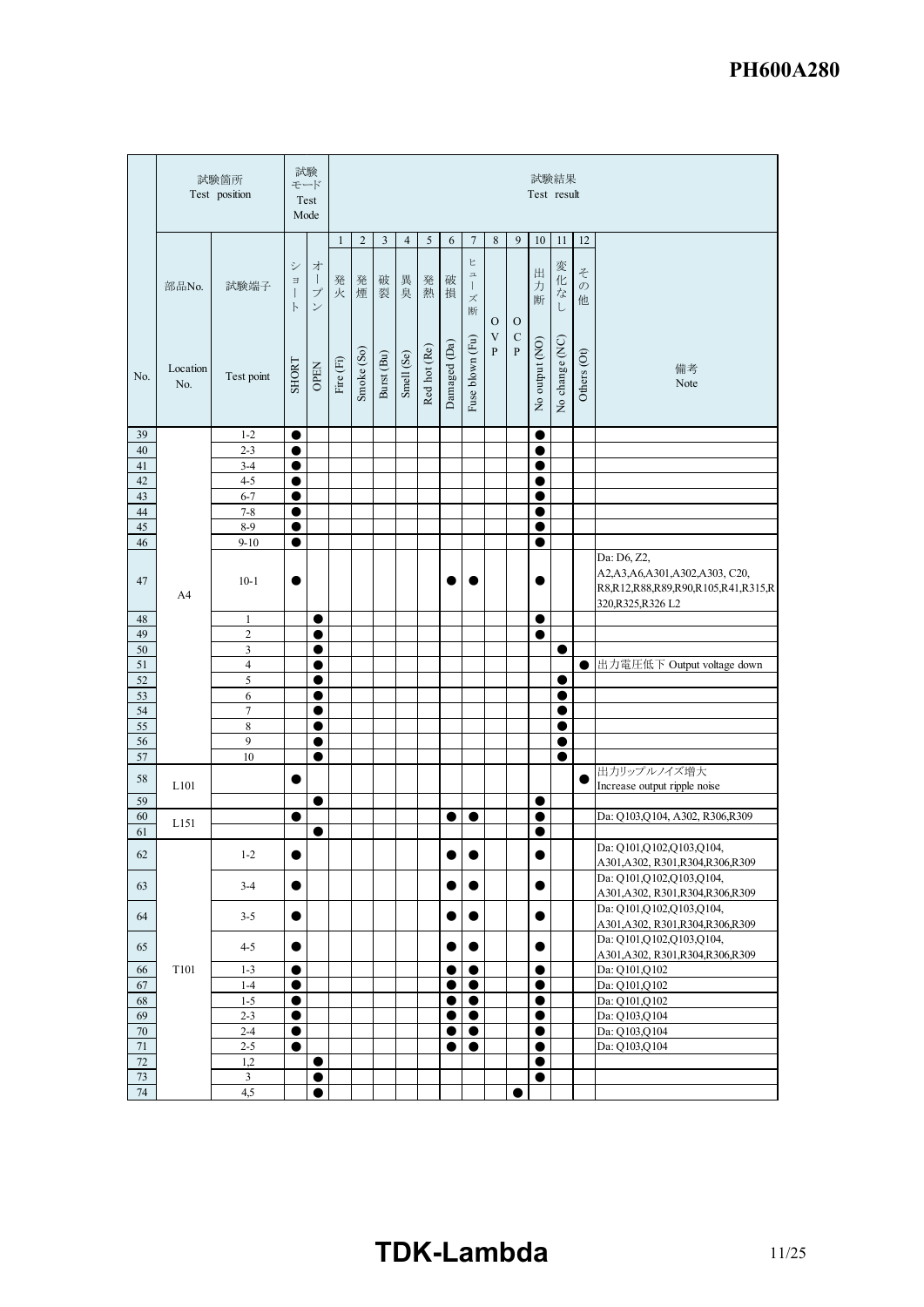|                  |                 | 試験箇所<br>Test position         |                                       | 試験<br>モード<br>Test<br>Mode                          |              |            |            |                |              |              |                                            |                                           |                             | Test result            | 試験結果                 |                         |                                                                                                               |
|------------------|-----------------|-------------------------------|---------------------------------------|----------------------------------------------------|--------------|------------|------------|----------------|--------------|--------------|--------------------------------------------|-------------------------------------------|-----------------------------|------------------------|----------------------|-------------------------|---------------------------------------------------------------------------------------------------------------|
|                  |                 |                               |                                       |                                                    | $\mathbf{1}$ | $\sqrt{2}$ | 3          | $\overline{4}$ | $\sqrt{5}$   | 6            | $\tau$                                     | $\,$ 8 $\,$                               | 9                           | $10\,$                 | $11\,$               | $12\,$                  |                                                                                                               |
|                  | 部品No.           | 試験端子                          | シ<br>$\Xi$<br>$\big $<br>$\mathsf{F}$ | 才<br>$\mathbf{I}$<br>$\mathcal{I}$<br>$\checkmark$ | 発<br>火       | 発煙         | 破裂         | 異臭             | 発熱           | 破<br>損       | ヒ<br>$\mathbb Z$<br>$\mathbf{I}$<br>ズ<br>断 | $\mathbf O$                               | $\mathbf O$                 | 出<br>力<br>断            | 変化<br>$\vec{z}$<br>L | そ<br>$\mathcal{O}$<br>他 |                                                                                                               |
| No.              | Location<br>No. | Test point                    | SHORT                                 | <b>OPEN</b>                                        | Fire $(Fi)$  | Smoke (So) | Burst (Bu) | Smell (Se)     | Red hot (Re) | Damaged (Da) | Fuse blown (Fu)                            | $\ensuremath{\mathbf{V}}$<br>$\mathbf{P}$ | $\mathbf C$<br>$\mathbf{P}$ | No output (NO)         | No change (NC)       | Others (Ot)             | 備考<br>Note                                                                                                    |
| 39               |                 | $1 - 2$                       |                                       |                                                    |              |            |            |                |              |              |                                            |                                           |                             |                        |                      |                         |                                                                                                               |
| 40               |                 | $2 - 3$                       | C                                     |                                                    |              |            |            |                |              |              |                                            |                                           |                             |                        |                      |                         |                                                                                                               |
| $41\,$<br>42     |                 | $3-4$<br>$4 - 5$              | $\bullet$                             |                                                    |              |            |            |                |              |              |                                            |                                           |                             | 0                      |                      |                         |                                                                                                               |
| $\overline{43}$  |                 | $6 - 7$                       | 0<br>0                                |                                                    |              |            |            |                |              |              |                                            |                                           |                             | 0<br>e                 |                      |                         |                                                                                                               |
| $44\,$           |                 | $7 - 8$                       | $\bullet$                             |                                                    |              |            |            |                |              |              |                                            |                                           |                             | 0                      |                      |                         |                                                                                                               |
| 45               |                 | $8-9$                         | c                                     |                                                    |              |            |            |                |              |              |                                            |                                           |                             | c                      |                      |                         |                                                                                                               |
| 46               |                 | $9 - 10$                      | 0                                     |                                                    |              |            |            |                |              |              |                                            |                                           |                             | ●                      |                      |                         |                                                                                                               |
| 47               | A4              | $10 - 1$                      | 0                                     |                                                    |              |            |            |                |              |              |                                            |                                           |                             |                        |                      |                         | Da: D6, Z2,<br>A2, A3, A6, A301, A302, A303, C20,<br>R8,R12,R88,R89,R90,R105,R41,R315,R<br>320, R325, R326 L2 |
| 48               |                 | 1                             |                                       | ●                                                  |              |            |            |                |              |              |                                            |                                           |                             | ●                      |                      |                         |                                                                                                               |
| 49<br>$50$       |                 | $\overline{c}$<br>3           |                                       | 0<br>0                                             |              |            |            |                |              |              |                                            |                                           |                             | $\bullet$              | $\bullet$            |                         |                                                                                                               |
| 51               |                 | $\overline{\mathbf{4}}$       |                                       | 0                                                  |              |            |            |                |              |              |                                            |                                           |                             |                        |                      | 0                       | 出力電圧低下 Output voltage down                                                                                    |
| 52               |                 | 5                             |                                       | $\bullet$                                          |              |            |            |                |              |              |                                            |                                           |                             |                        | 0                    |                         |                                                                                                               |
| 53               |                 | 6                             |                                       | $\bullet$                                          |              |            |            |                |              |              |                                            |                                           |                             |                        |                      |                         |                                                                                                               |
| 54               |                 | $\overline{7}$                |                                       | 0                                                  |              |            |            |                |              |              |                                            |                                           |                             |                        | 0                    |                         |                                                                                                               |
| 55<br>56         |                 | $\,$ 8 $\,$<br>$\overline{9}$ |                                       | ●                                                  |              |            |            |                |              |              |                                            |                                           |                             |                        | ●                    |                         |                                                                                                               |
| 57               |                 | 10                            |                                       | 0<br>$\bullet$                                     |              |            |            |                |              |              |                                            |                                           |                             |                        | 0<br>$\bullet$       |                         |                                                                                                               |
|                  |                 |                               |                                       |                                                    |              |            |            |                |              |              |                                            |                                           |                             |                        |                      |                         | 出力リップルノイズ増大                                                                                                   |
| 58               | L101            |                               | Œ                                     |                                                    |              |            |            |                |              |              |                                            |                                           |                             |                        |                      | C                       | Increase output ripple noise                                                                                  |
| 59               |                 |                               |                                       | $\bullet$                                          |              |            |            |                |              |              |                                            |                                           |                             |                        |                      |                         |                                                                                                               |
| 60<br>61         | L151            |                               | 0                                     |                                                    |              |            |            |                |              | ●            | ●                                          |                                           |                             | ●                      |                      |                         | Da: Q103, Q104, A302, R306, R309                                                                              |
|                  |                 |                               |                                       |                                                    |              |            |            |                |              |              |                                            |                                           |                             |                        |                      |                         | Da: Q101,Q102,Q103,Q104                                                                                       |
| 62               |                 | $1 - 2$                       | $\bullet$                             |                                                    |              |            |            |                |              | $\bullet$    |                                            |                                           |                             | $\bullet$              |                      |                         | A301, A302, R301, R304, R306, R309                                                                            |
| 63               |                 | $3-4$                         | $\bullet$                             |                                                    |              |            |            |                |              | $\bullet$    |                                            |                                           |                             | $\bullet$              |                      |                         | Da: Q101, Q102, Q103, Q104,<br>A301, A302, R301, R304, R306, R309                                             |
| 64               |                 | $3 - 5$                       | $\bullet$                             |                                                    |              |            |            |                |              | $\bullet$    | $\bullet$                                  |                                           |                             | $\bullet$              |                      |                         | Da: Q101, Q102, Q103, Q104,<br>A301, A302, R301, R304, R306, R309                                             |
| 65               |                 | $4 - 5$                       | 0                                     |                                                    |              |            |            |                |              |              |                                            |                                           |                             |                        |                      |                         | Da: Q101, Q102, Q103, Q104,                                                                                   |
| 66               | T101            | $1 - 3$                       | $\bullet$                             |                                                    |              |            |            |                |              | $\bullet$    | $\bullet$                                  |                                           |                             | $\bullet$              |                      |                         | A301, A302, R301, R304, R306, R309<br>Da: Q101, Q102                                                          |
| 67               |                 | $1-4$                         | $\bullet$                             |                                                    |              |            |            |                |              | $\bullet$    | $\bullet$                                  |                                           |                             | $\bullet$              |                      |                         | Da: Q101, Q102                                                                                                |
| 68               |                 | $1 - 5$                       | $\bullet$                             |                                                    |              |            |            |                |              | $\bullet$    | $\bullet$                                  |                                           |                             | $\bullet$              |                      |                         | Da: Q101, Q102                                                                                                |
| 69               |                 | $2 - 3$                       | $\bullet$                             |                                                    |              |            |            |                |              | 0            | $\bullet$                                  |                                           |                             | $\bullet$              |                      |                         | Da: Q103,Q104                                                                                                 |
| $70\,$           |                 | $2-4$                         | $\bullet$                             |                                                    |              |            |            |                |              | $\bullet$    | $\bullet$                                  |                                           |                             | $\bullet$              |                      |                         | Da: Q103,Q104                                                                                                 |
| $71\,$<br>$72\,$ |                 | $2 - 5$<br>1,2                | $\bullet$                             | $\bullet$                                          |              |            |            |                |              |              | $\bullet$                                  |                                           |                             | $\bullet$<br>$\bullet$ |                      |                         | Da: Q103, Q104                                                                                                |
| $73\,$           |                 | $\mathfrak{Z}$                |                                       | $\bullet$                                          |              |            |            |                |              |              |                                            |                                           |                             | $\bullet$              |                      |                         |                                                                                                               |
| 74               |                 | 4,5                           |                                       | $\bullet$                                          |              |            |            |                |              |              |                                            |                                           |                             |                        |                      |                         |                                                                                                               |

# **TDK-Lambda** 11/25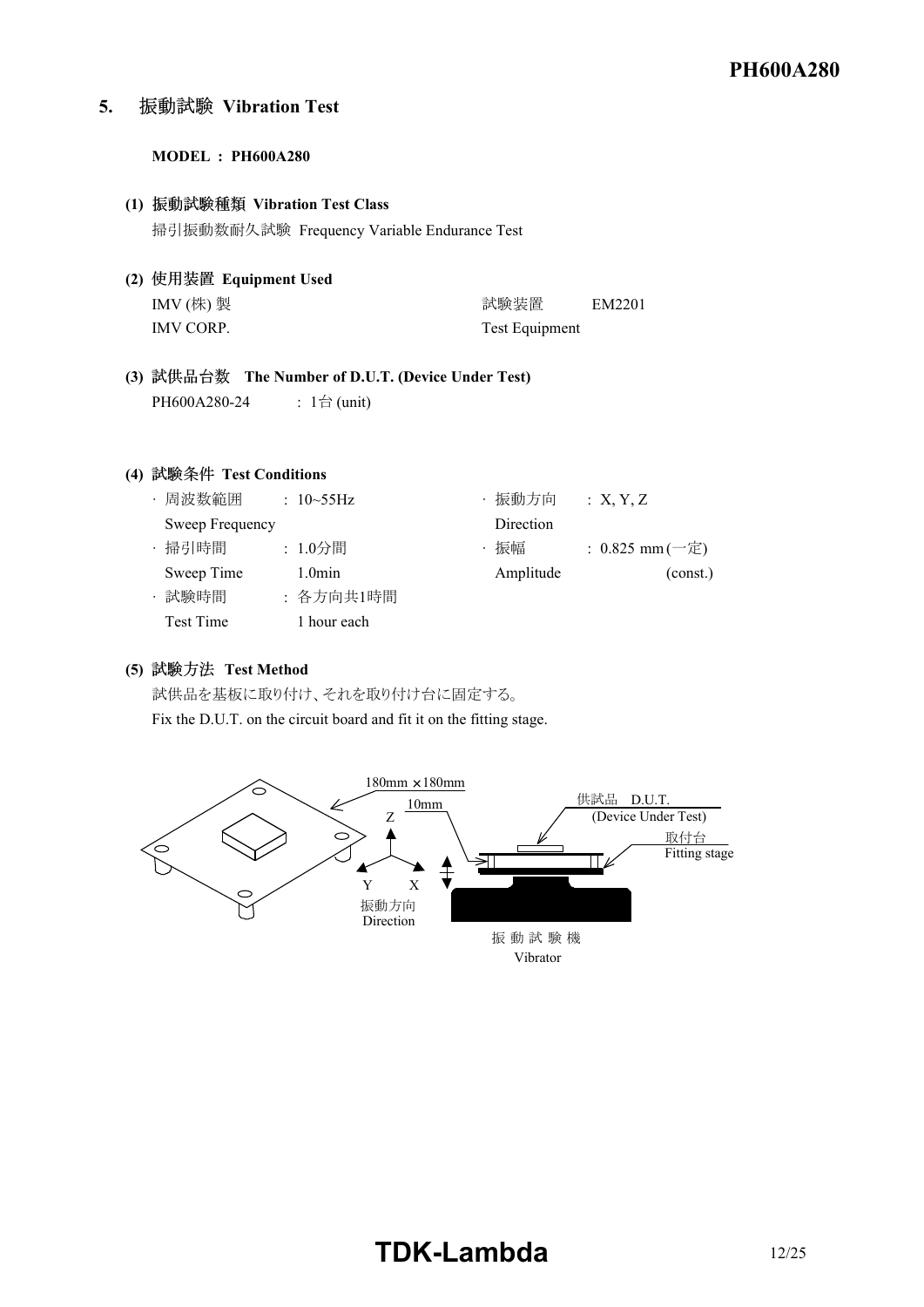**5. Vibration Test**

#### **MODEL : PH600A280**

# **(1) Vibration Test Class** 掃引振動数耐久試験 Frequency Variable Endurance Test

**(2) Equipment Used**

| IMV (株) 製 | 試験装置           | EM2201 |
|-----------|----------------|--------|
| IMV CORP. | Test Equipment |        |

**(3) The Number of D.U.T. (Device Under Test)** PH600A280-24 : 1台 (unit)

## **(4) Test Conditions**

| ・周波数範囲          | : $10 \sim 55 \text{Hz}$ |             | 振動方向      | :X, Y, Z          |
|-----------------|--------------------------|-------------|-----------|-------------------|
| Sweep Frequency |                          |             | Direction |                   |
| · 掃引時間          | : 1.0分間                  |             | 振幅        | : $0.825$ mm (一定) |
| Sweep Time      | 1.0 <sub>min</sub>       |             | Amplitude | (const.)          |
| 試験時間            |                          | : 各方向共1時間   |           |                   |
| Test Time       |                          | 1 hour each |           |                   |

# **(5) Test Method**

試供品を基板に取り付け、それを取り付け台に固定する。 Fix the D.U.T. on the circuit board and fit it on the fitting stage.

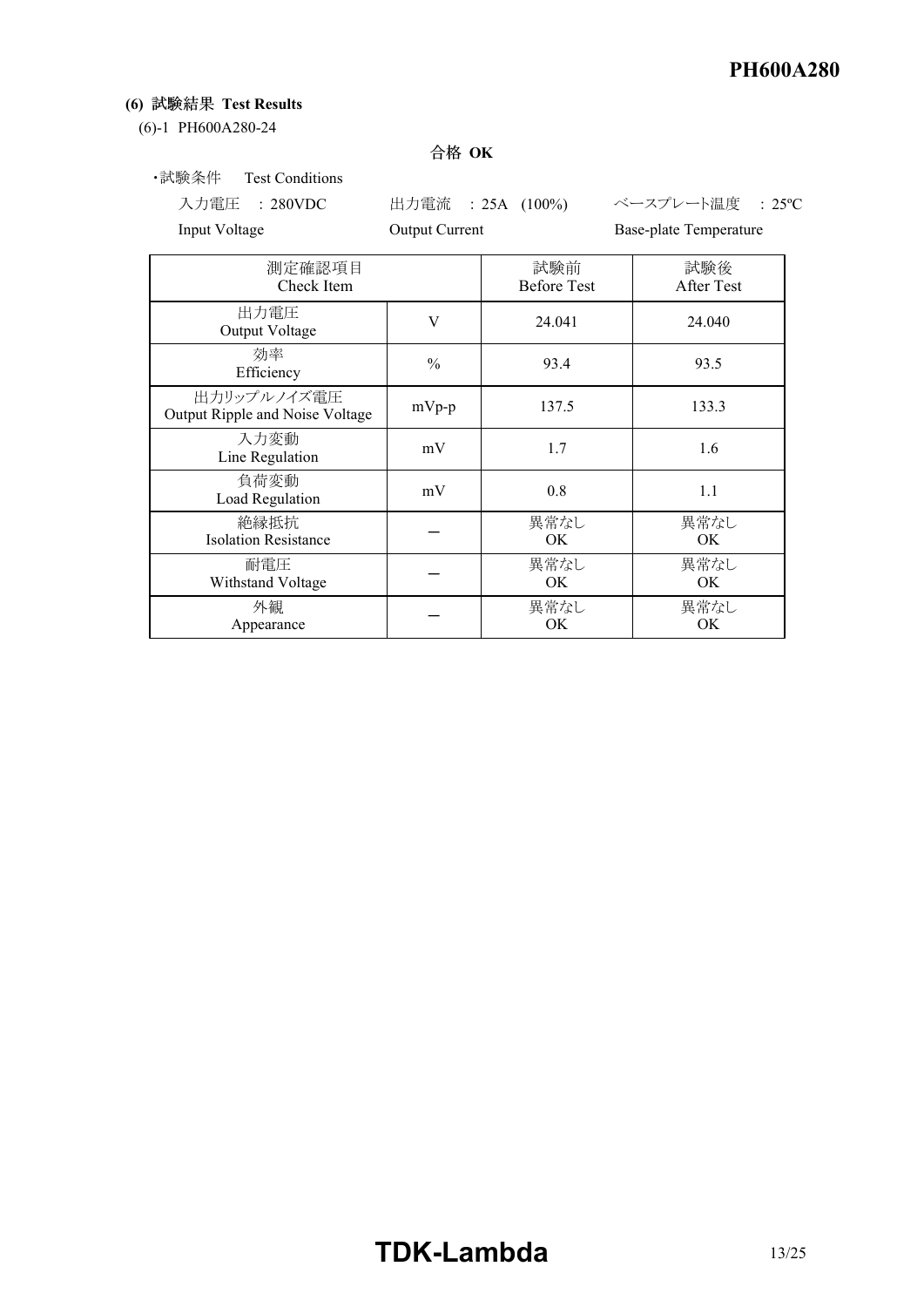# **(6) Test Results**

#### (6)-1 PH600A280-24

# 合格 OK

# ・試験条件 Test Conditions

Input Voltage **Output Current** Base-plate Temperature

入力電圧 : 280VDC 出力電流 : 25A (100%) ベースプレート温度 : 25ºC

| 測定確認項目<br>Check Item                           |               | 試験前<br><b>Before Test</b> | 試験後<br>After Test |
|------------------------------------------------|---------------|---------------------------|-------------------|
| 出力電圧<br>Output Voltage                         | V             | 24.041                    | 24.040            |
| 効率<br>Efficiency                               | $\frac{0}{0}$ | 93.4                      | 93.5              |
| 出力リップルノイズ電圧<br>Output Ripple and Noise Voltage | $mVp-p$       | 137.5                     | 133.3             |
| 入力変動<br>Line Regulation                        | mV            | 1.7                       | 1.6               |
| 負荷変動<br>Load Regulation                        | mV            | 0.8                       | 1.1               |
| 絶縁抵抗<br><b>Isolation Resistance</b>            |               | 異常なし<br>OK.               | 異常なし<br>OK.       |
| 耐電圧<br>Withstand Voltage                       |               | 異常なし<br>OK.               | 異常なし<br>OK        |
| 外観<br>Appearance                               |               | 異常なし<br>OK                | 異常なし<br>ОK        |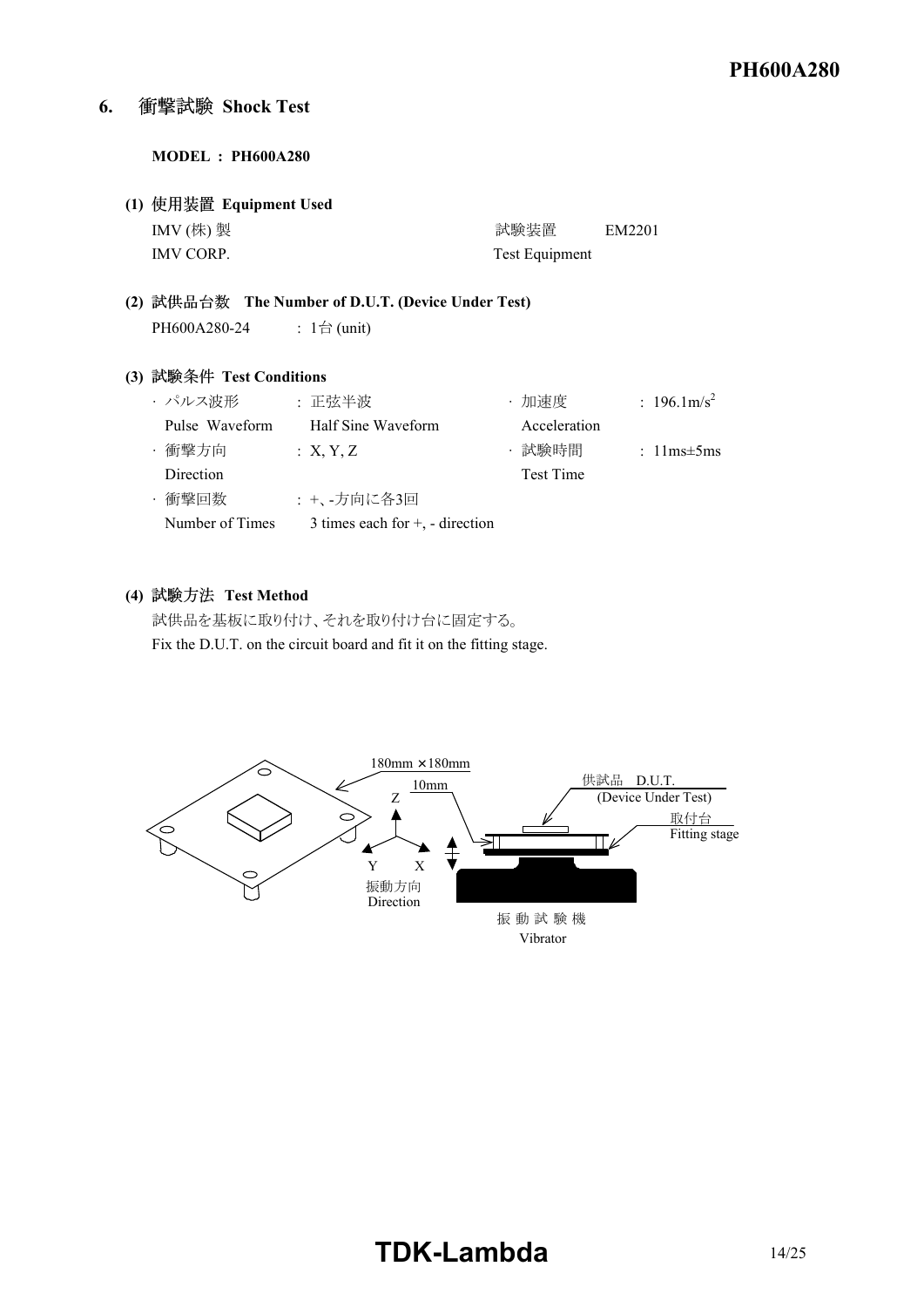#### **6. Shock Test**

#### **MODEL : PH600A280**

**(1) Equipment Used** IMV (株) 製 <br>
and the contract of the contract of the contract of the contract of the contract of the contract of the contract of the contract of the contract of the contract of the contract of the contract of the contract IMV CORP. Test Equipment

**(2) The Number of D.U.T. (Device Under Test)** PH600A280-24 : 1台 (unit)

## **(3) Test Conditions**

| ・パルス波形          | : 正弦半波                               | ・加速度             | : $196.1 \text{m/s}^2$ |
|-----------------|--------------------------------------|------------------|------------------------|
| Pulse Waveform  | Half Sine Waveform                   | Acceleration     |                        |
| ・衝撃方向           | : X, Y, Z                            | ・試験時間            | : $11ms \pm 5ms$       |
| Direction       |                                      | <b>Test Time</b> |                        |
| ・衝撃回数           | : +、-方向に各3回                          |                  |                        |
| Number of Times | 3 times each for $+$ , $-$ direction |                  |                        |

#### **(4) Test Method**

試供品を基板に取り付け、それを取り付け台に固定する。 Fix the D.U.T. on the circuit board and fit it on the fitting stage.

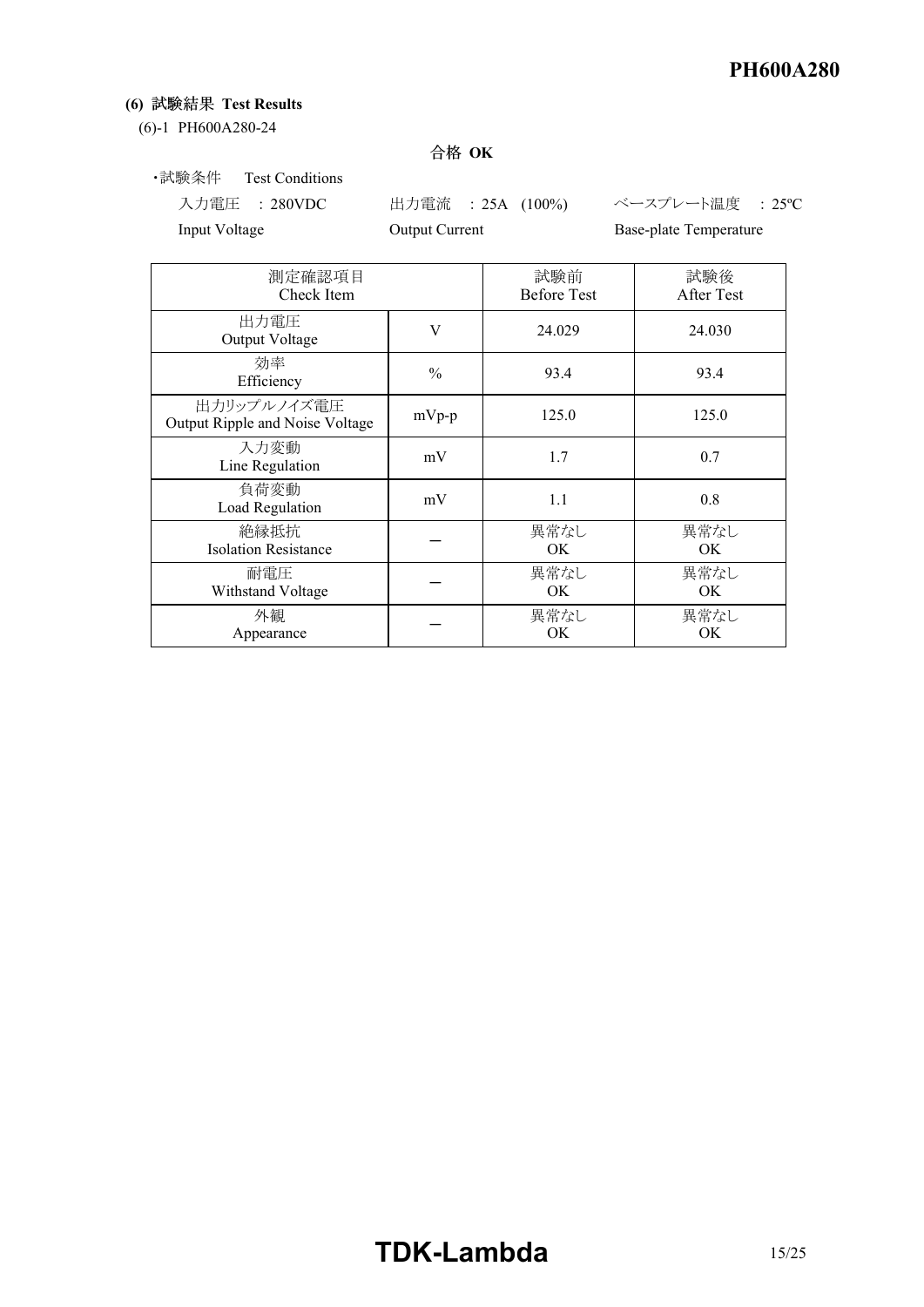# **(6) Test Results**

(6)-1 PH600A280-24

# 合格 OK

・試験条件 Test Conditions

入力電圧 : 280VDC 出力電流 : 25A (100%) ベースプレート温度 : 25ºC Input Voltage **Output Current** Base-plate Temperature

| 測定確認項目<br>Check Item                           |               | 試験前<br><b>Before Test</b> | 試験後<br>After Test |
|------------------------------------------------|---------------|---------------------------|-------------------|
| 出力電圧<br>Output Voltage                         | V             | 24.029                    | 24.030            |
| 効率<br>Efficiency                               | $\frac{0}{0}$ | 93.4                      | 93.4              |
| 出力リップルノイズ電圧<br>Output Ripple and Noise Voltage | $mVp-p$       | 125.0                     | 125.0             |
| 入力変動<br>Line Regulation                        | mV            | 1.7                       | 0.7               |
| 負荷変動<br>Load Regulation                        | mV            | 1.1                       | 0.8               |
| 絶縁抵抗<br><b>Isolation Resistance</b>            |               | 異常なし<br>OK.               | 異常なし<br>OK.       |
| 耐電圧<br>Withstand Voltage                       |               | 異常なし<br>OK.               | 異常なし<br>OK.       |
| 外観<br>Appearance                               |               | 異常なし<br>OK.               | 異常なし<br>ОK        |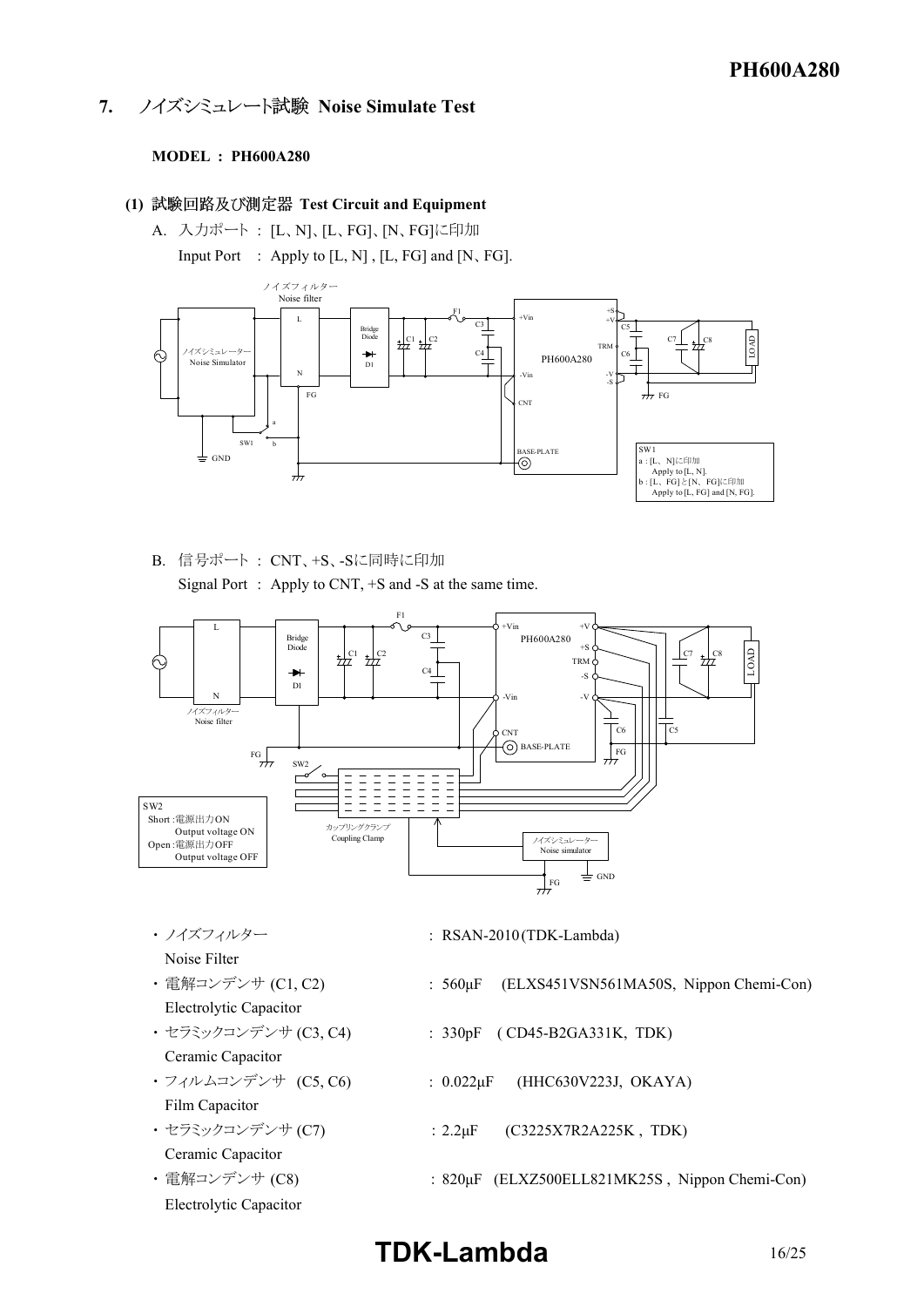**7. ノイズシミュレート試験 Noise Simulate Test** 

#### **MODEL : PH600A280**

- **(1) Test Circuit and Equipment**
	- A. 入力ポート : [L、N]、[L、FG]、[N、FG]に印加

Input Port : Apply to [L, N] , [L, FG] and [N、FG].



B. 信号ポート : CNT、+S、Sに同時に印加

Signal Port : Apply to CNT, +S and -S at the same time.



- 
- Noise Filter
- Electrolytic Capacitor
- Ceramic Capacitor
- 
- Film Capacitor
- Ceramic Capacitor
- Electrolytic Capacitor
- ・ノイズフィルター : RSAN-2010(TDK-Lambda)
- 電解コンデンサ (C1, C2) : 560μF (ELXS451VSN561MA50S, Nippon Chemi-Con)
- セラミックコンデンサ (C3, C4) : 330pF (CD45-B2GA331K, TDK)
- ・ フィルムコンデンサ (C5, C6) : 0.022μF (HHC630V223J, OKAYA)
- セラミックコンデンサ (C7) : 2.2μF (C3225X7R2A225K, TDK)
- · 電解コンデンサ (C8) : 820μF (ELXZ500ELL821MK25S, Nippon Chemi-Con)

# **TDKLambda** 16/25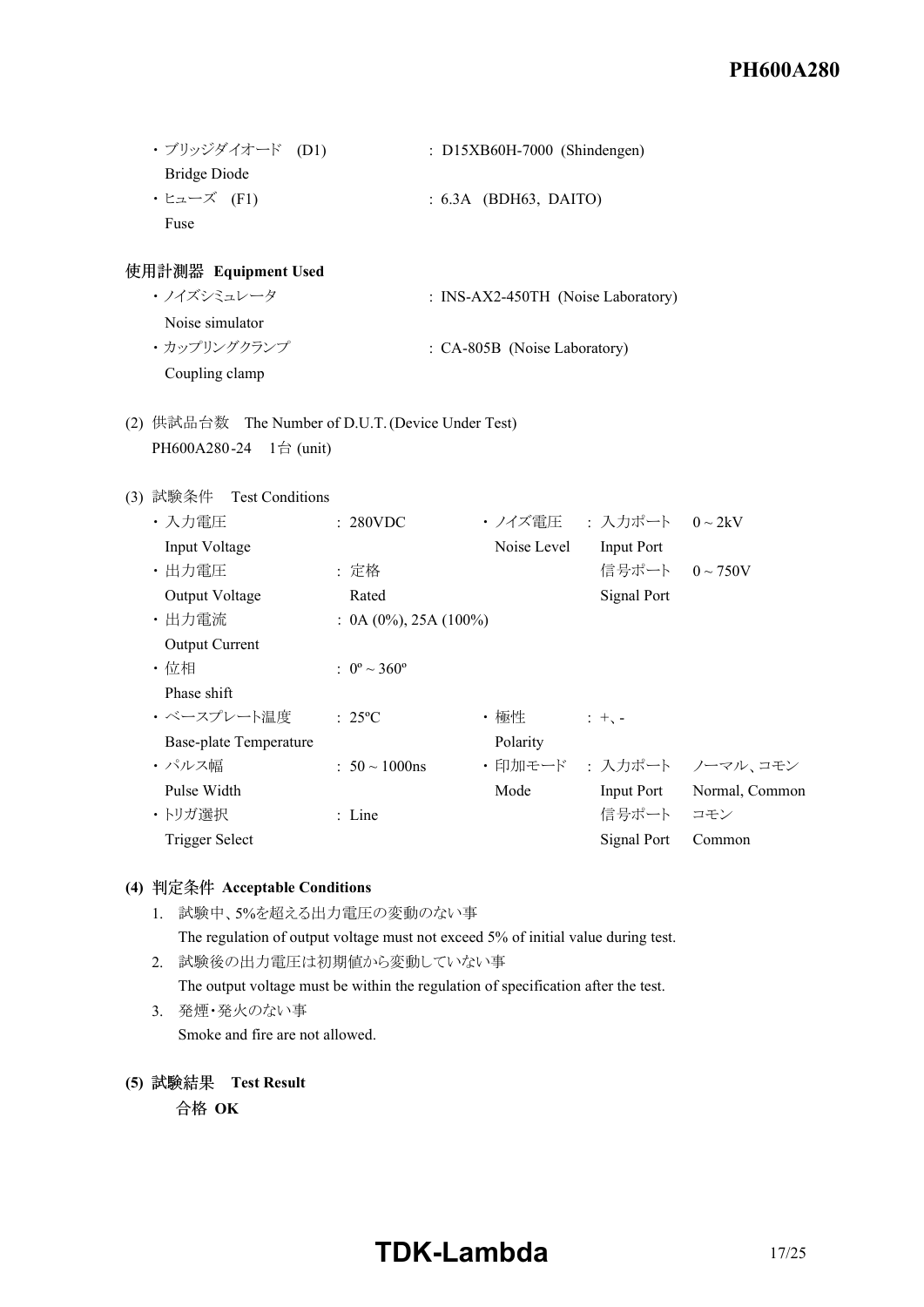| ・ブリッジダイオード (D1) | $: D15XB60H-7000$ (Shindengen) |
|-----------------|--------------------------------|
| Bridge Diode    |                                |
| ・ヒューズ (F1)      | $: 6.3A$ (BDH63, DAITO)        |
| Fuse            |                                |

#### **Equipment Used**

- · ノイズシミュレータ : INS-AX2-450TH (Noise Laboratory) Noise simulator ・カップリングクランプ : CA-805B (Noise Laboratory) Coupling clamp
- (2) 供試品台数 The Number of D.U.T. (Device Under Test) PH600A280-24 1台 (unit)

#### (3) 試験条件 Test Conditions

| ・入力電圧                  | : 280VDC                       | ・ノイズ雷圧      | : 入力ポート 0~2kV     |                         |
|------------------------|--------------------------------|-------------|-------------------|-------------------------|
| Input Voltage          |                                | Noise Level | Input Port        |                         |
| ・出力電圧                  | : 定格                           |             | 信号ポート             | $0 \sim 750V$           |
| Output Voltage         | Rated                          |             | Signal Port       |                         |
| ・出力電流                  | $: 0A (0\%)$ , 25A (100%)      |             |                   |                         |
| <b>Output Current</b>  |                                |             |                   |                         |
| ・位相                    | : $0^{\circ} \sim 360^{\circ}$ |             |                   |                         |
| Phase shift            |                                |             |                   |                         |
| ・ベースプレート温度             | $: 25^{\circ}C$                | ・極性         | $: + -$           |                         |
| Base-plate Temperature |                                | Polarity    |                   |                         |
| ・パルス幅                  | $: 50 \sim 1000$ ns            |             |                   | ・印加モード : 入力ポート ノーマル、コモン |
| Pulse Width            |                                | Mode        | <b>Input Port</b> | Normal, Common          |
| ・トリガ選択                 | $:$ Line                       |             | 信号ポート             | コモン                     |
| Trigger Select         |                                |             | Signal Port       | Common                  |
|                        |                                |             |                   |                         |

## **(4) Acceptable Conditions**

- 1. 試験中、5%を超える出力電圧の変動のない事
	- The regulation of output voltage must not exceed 5% of initial value during test.
- 2. 試験後の出力電圧は初期値から変動していない事
	- The output voltage must be within the regulation of specification after the test.
- 3. 発煙・発火のない事 Smoke and fire are not allowed.
- **(5) Test Result**

合格 OK

# **TDK-Lambda** 17/25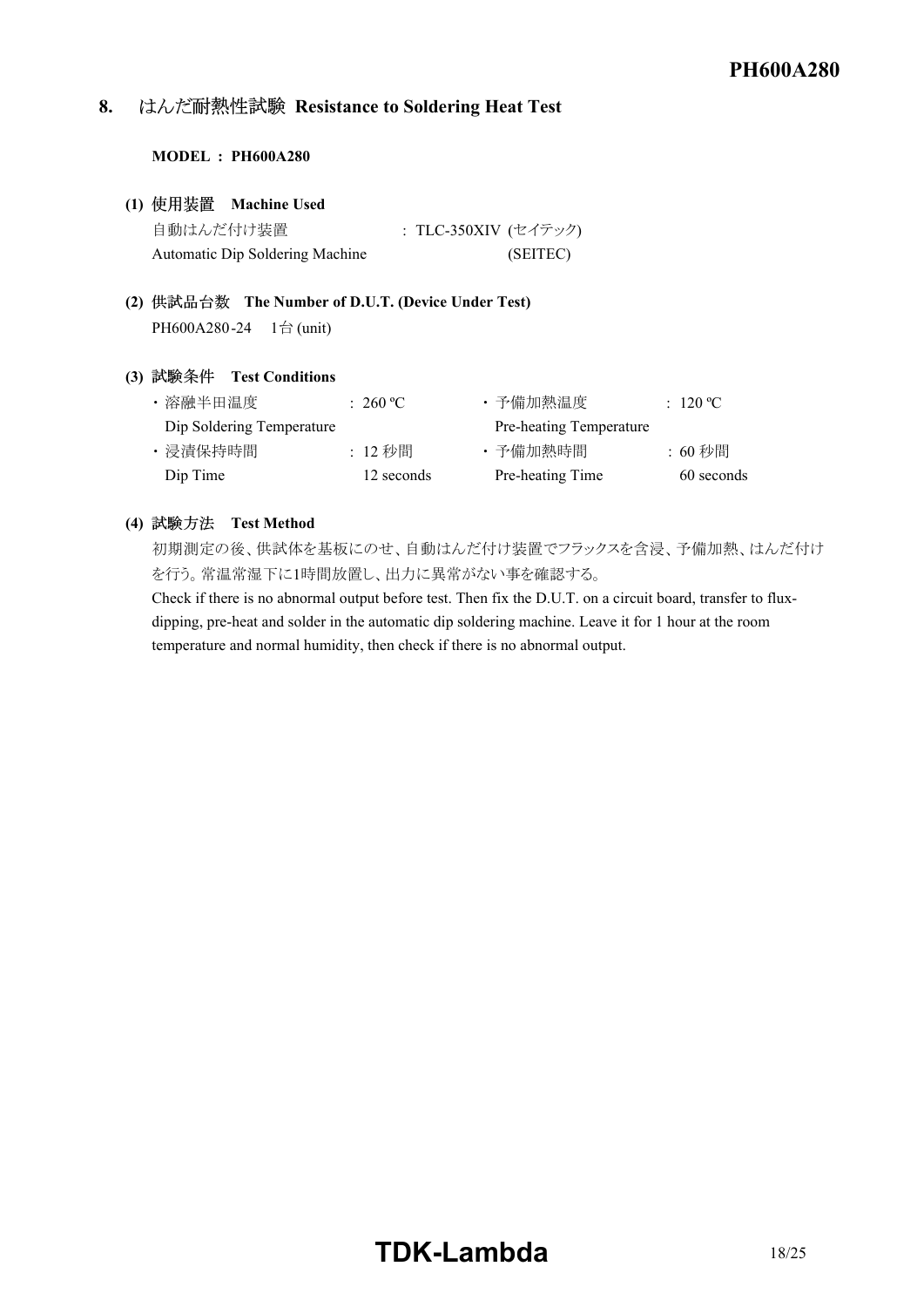# **8. Resistance to Soldering Heat Test**

#### **MODEL : PH600A280**

|           | (1) 使用装置 Machine Used           |                      |
|-----------|---------------------------------|----------------------|
| 自動はんだ付け装置 |                                 | : TLC-350XIV (セイテック) |
|           | Automatic Dip Soldering Machine | (SEITEC)             |

**(2) The Number of D.U.T. (Device Under Test)** PH600A280-24 1台 (unit)

#### **(3) Test Conditions**

| ・溶融半田温度                   | $\div$ 260 °C $\overline{C}$ | ・予備加熱温度                 | : 120 °C   |
|---------------------------|------------------------------|-------------------------|------------|
| Dip Soldering Temperature |                              | Pre-heating Temperature |            |
| ・浸漬保持時間                   | :12 秒間                       | ・予備加熱時間                 | :60 秒間     |
| Dip Time                  | 12 seconds                   | Pre-heating Time        | 60 seconds |

#### **(4) Test Method**

初期測定の後、供試体を基板にのせ、自動はんだ付け装置でフラックスを含浸、予備加熱、はんだ付け を行う。常温常湿下に1時間放置し、出力に異常がない事を確認する。

Check if there is no abnormal output before test. Then fix the D.U.T. on a circuit board, transfer to fluxdipping, pre-heat and solder in the automatic dip soldering machine. Leave it for 1 hour at the room temperature and normal humidity, then check if there is no abnormal output.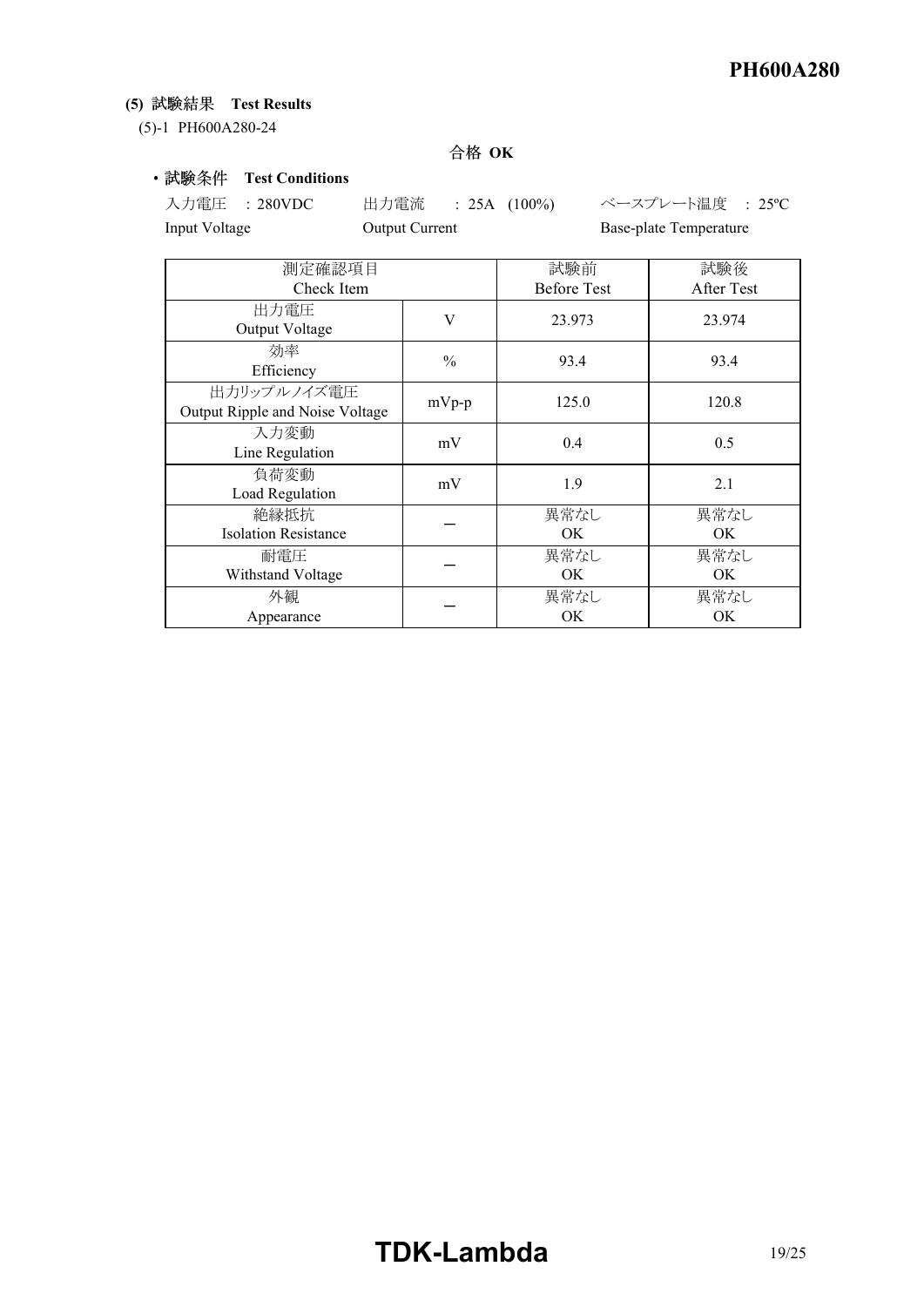# **(5) Test Results**

(5)-1 PH600A280-24

# 合格 OK

## • 試験条件 Test Conditions

入力電圧 : 280VDC 出力電流 : 25A (100%) ベースプレート温度 : 25ºC Input Voltage **Output Current** Base-plate Temperature

| 測定確認項目                                         |               | 試験前                | 試験後        |  |
|------------------------------------------------|---------------|--------------------|------------|--|
| Check Item                                     |               | <b>Before Test</b> | After Test |  |
| 出力電圧<br>Output Voltage                         | V             | 23.973             | 23.974     |  |
| 効率<br>Efficiency                               | $\frac{0}{0}$ | 93.4               | 93.4       |  |
| 出力リップルノイズ電圧<br>Output Ripple and Noise Voltage | $mVp-p$       | 125.0              | 120.8      |  |
| 入力変動<br>Line Regulation                        | mV            | 0.4                | 0.5        |  |
| 負荷変動<br>Load Regulation                        | mV            | 1.9                | 2.1        |  |
| 絶縁抵抗<br><b>Isolation Resistance</b>            |               | 異常なし<br>OK         | 異常なし<br>OK |  |
| 耐電圧<br>Withstand Voltage                       |               | 異常なし<br>OK         | 異常なし<br>OK |  |
| 外観<br>Appearance                               |               | 異常なし<br>OK         | 異常なし<br>ОK |  |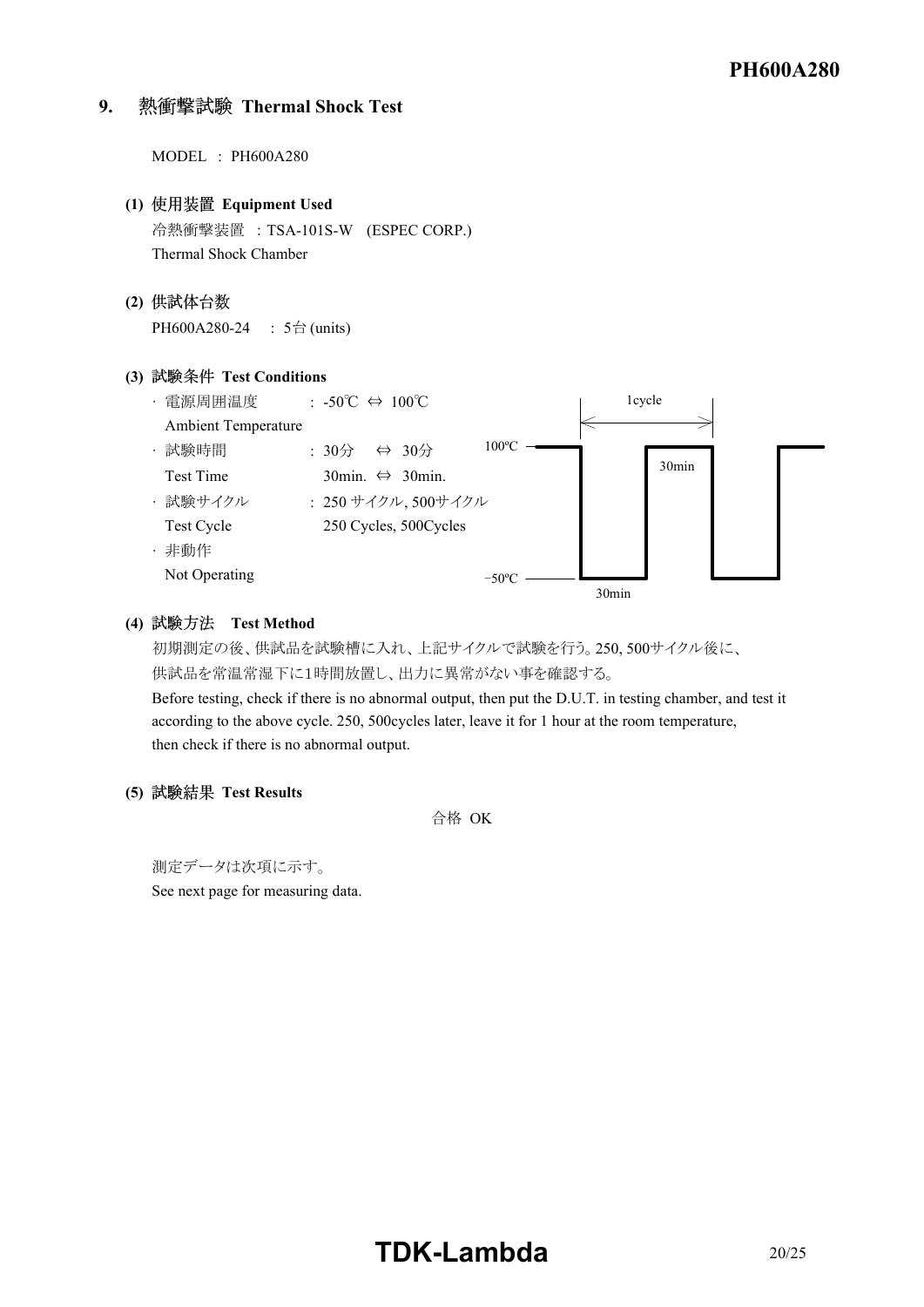# **9. Thermal Shock Test**

MODEL : PH600A280 **(1) Equipment Used**  冷熱衝撃装置 : TSA101SW (ESPEC CORP.) Thermal Shock Chamber **(2)** PH600A280-24 : 5台 (units) **(3) Test Conditions** ā 電源周囲温度 : 50℃ ⇔ 100℃ Ambient Temperature 1cycle  $100^{\circ}$ C -



### **(4) Test Method**

初期測定の後、供試品を試験槽に入れ、上記サイクルで試験を行う。250, 500サイクル後に、 供試品を常温常湿下に1時間放置し、出力に異常がない事を確認する。

Before testing, check if there is no abnormal output, then put the D.U.T. in testing chamber, and test it according to the above cycle. 250, 500cycles later, leave it for 1 hour at the room temperature, then check if there is no abnormal output.

### **(5) Test Results**

合格 OK

測定データは次項に示す。 See next page for measuring data.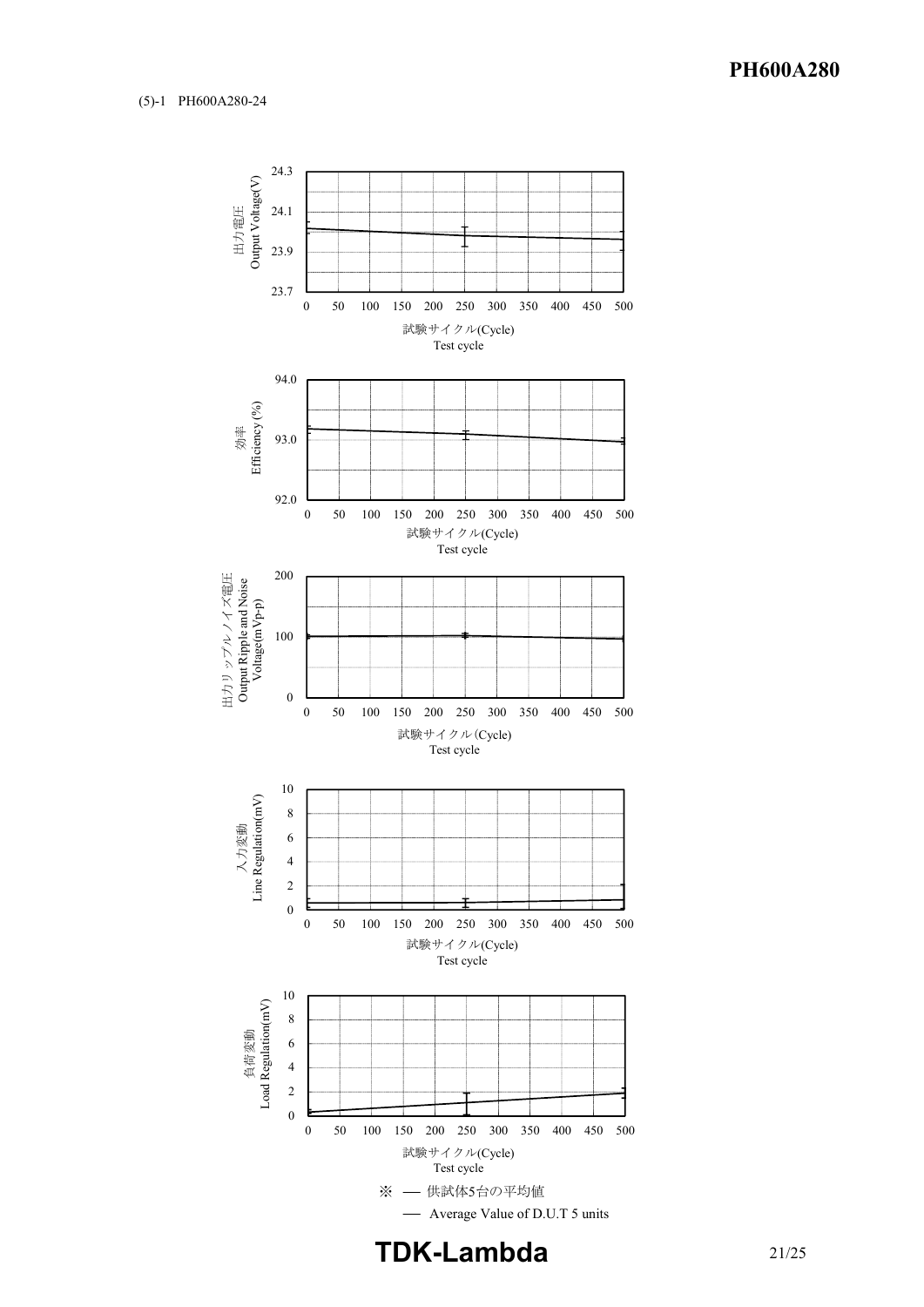

**TDK-Lambda**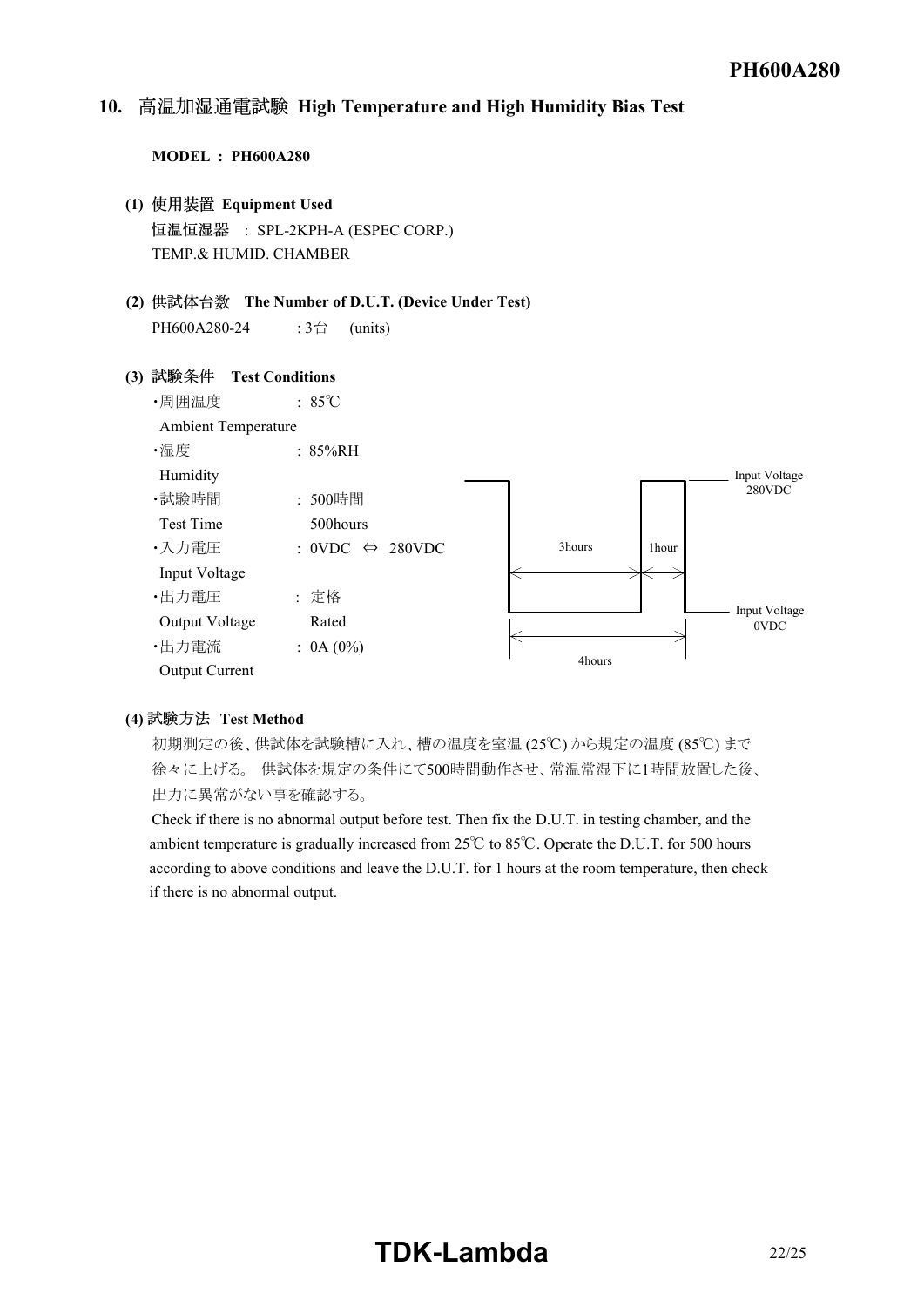#### *<u>Instruction</u>* 10. 高温加湿通電試験 High Temperature and High Humidity Bias Test

#### **MODEL : PH600A280**

- **(1) Equipment Used** 恒温恒湿器 : SPL-2KPH-A (ESPEC CORP.) TEMP.& HUMID. CHAMBER
- **(2) The Number of D.U.T. (Device Under Test)** PH600A280-24 : 3台 (units)

#### **(3) Test Conditions**



#### (4) 試験方法 Test Method

初期測定の後、供試体を試験槽に入れ、槽の温度を室温 (25℃) から規定の温度 (85℃) まで 徐々に上げる。 供試体を規定の条件にて500時間動作させ、常温常湿下に1時間放置した後、 出力に異常がない事を確認する。

Check if there is no abnormal output before test. Then fix the D.U.T. in testing chamber, and the ambient temperature is gradually increased from 25℃ to 85℃. Operate the D.U.T. for 500 hours according to above conditions and leave the D.U.T. for 1 hours at the room temperature, then check if there is no abnormal output.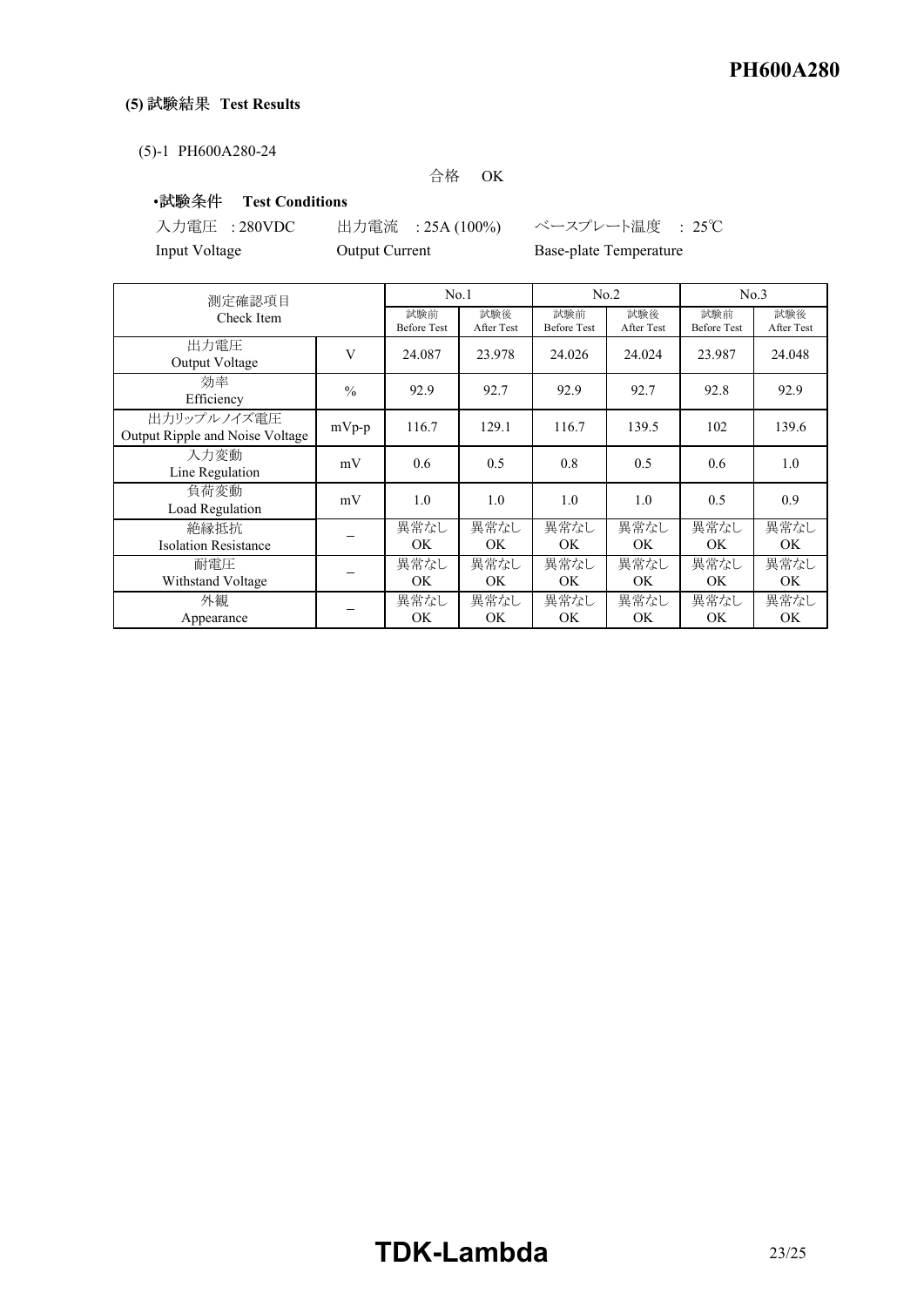# (5) 試験結果 Test Results

#### (5)-1 PH600A280-24

#### 合格 OK

## ·試験条件 Test Conditions

Input Voltage **Output Current** Base-plate Temperature

入力電圧 : 280VDC 出力電流 : 25A (100%) ベースプレート温度 : 25℃

| 測定確認項目                                         |               | No.1                      |                   | No.2                      |                          | No.3                      |                   |
|------------------------------------------------|---------------|---------------------------|-------------------|---------------------------|--------------------------|---------------------------|-------------------|
| Check Item                                     |               | 試験前<br><b>Before Test</b> | 試験後<br>After Test | 試験前<br><b>Before Test</b> | 試験後<br><b>After Test</b> | 試験前<br><b>Before Test</b> | 試験後<br>After Test |
| 出力電圧<br>Output Voltage                         | V             | 24.087                    | 23.978            | 24.026                    | 24.024                   | 23.987                    | 24.048            |
| 効率<br>Efficiency                               | $\frac{0}{0}$ | 92.9                      | 92.7              | 92.9                      | 92.7                     | 92.8                      | 92.9              |
| 出力リップルノイズ電圧<br>Output Ripple and Noise Voltage | $mVp-p$       | 116.7                     | 129.1             | 116.7                     | 139.5                    | 102                       | 139.6             |
| 入力変動<br>Line Regulation                        | mV            | 0.6                       | 0.5               | 0.8                       | 0.5                      | 0.6                       | 1.0               |
| 負荷変動<br>Load Regulation                        | mV            | 1.0                       | 1.0               | 1.0                       | 1.0                      | 0.5                       | 0.9               |
| 絶縁抵抗<br><b>Isolation Resistance</b>            |               | 異常なし<br>OK.               | 異常なし<br>OK.       | 異常なし<br>OK.               | 異常なし<br>OK.              | 異常なし<br>OK                | 異常なし<br>OK.       |
| 耐電圧<br>Withstand Voltage                       |               | 異常なし<br>OK                | 異常なし<br>OK.       | 異常なし<br>OK.               | 異常なし<br>OK               | 異常なし<br>OK                | 異常なし<br>OK.       |
| 外観<br>Appearance                               |               | 異常なし<br>OK                | 異常なし<br>OK        | 異常なし<br>OK                | 異常なし<br>OK               | 異常なし<br>OK.               | 異常なし<br>OK        |

# **TDKLambda** 23/25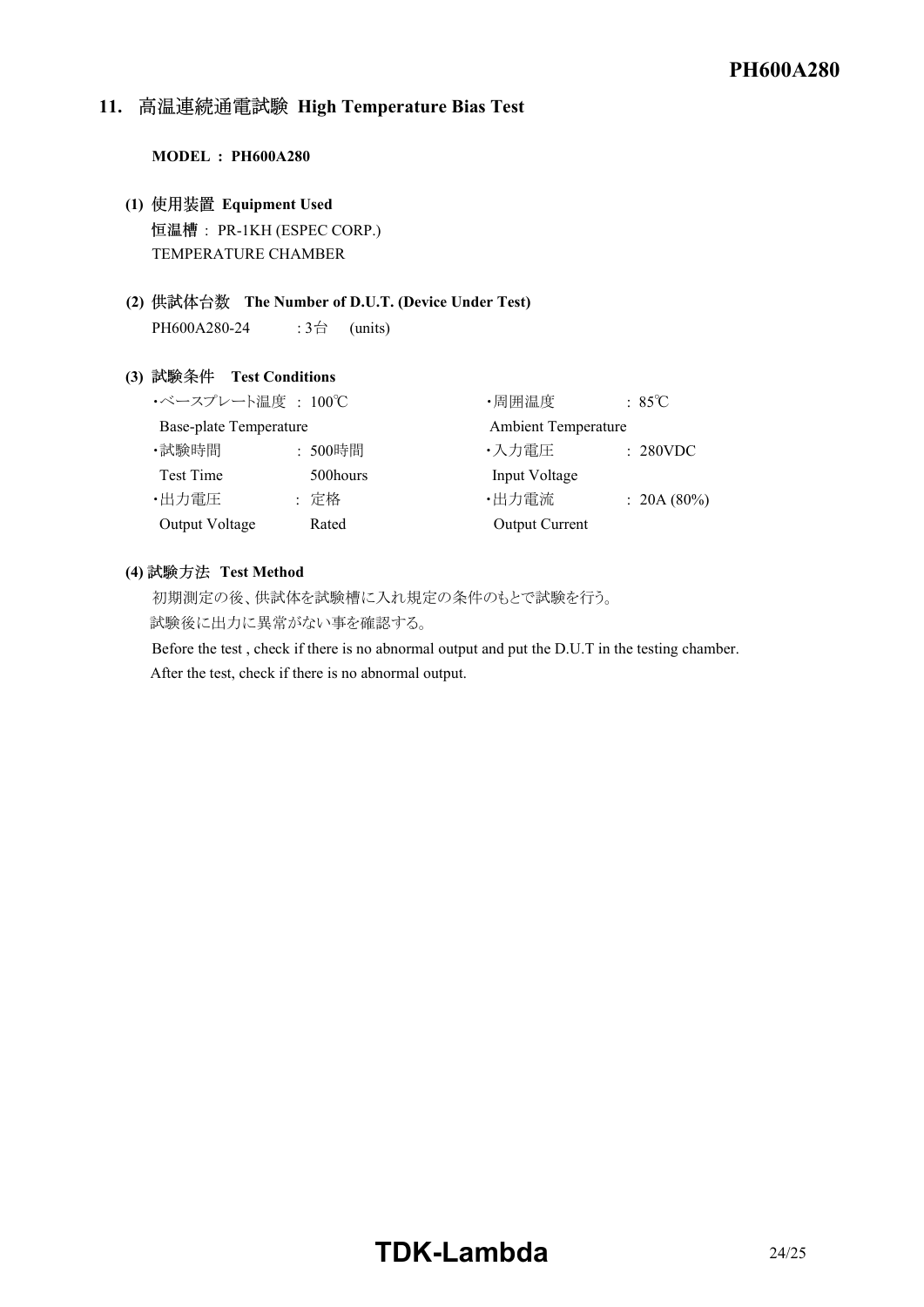# 11. 高温連続通電試験 High Temperature Bias Test

#### **MODEL : PH600A280**

- **(1) Equipment Used** 恒温槽: PR-1KH (ESPEC CORP.) TEMPERATURE CHAMBER
- **(2) The Number of D.U.T. (Device Under Test)** PH600A280-24 :  $3\overset{\triangle}{\Box}$  (units)

#### **(3) Test Conditions**

| ・ベースプレート温度 : 100℃             |          | ・周囲温度                      | $:85^{\circ}\mathrm{C}$ |
|-------------------------------|----------|----------------------------|-------------------------|
| <b>Base-plate Temperature</b> |          | <b>Ambient Temperature</b> |                         |
| ·試験時間                         | : 500時間  | ・入力電圧                      | : 280VDC                |
| Test Time                     | 500hours | Input Voltage              |                         |
| ・出力電圧                         | : 定格     | ・出力電流                      | : 20A(80%)              |
| Output Voltage                | Rated    | <b>Output Current</b>      |                         |

#### (4) 試験方法 Test Method

初期測定の後、供試体を試験槽に入れ規定の条件のもとで試験を行う。 試験後に出力に異常がない事を確認する。

Before the test , check if there is no abnormal output and put the D.U.T in the testing chamber. After the test, check if there is no abnormal output.